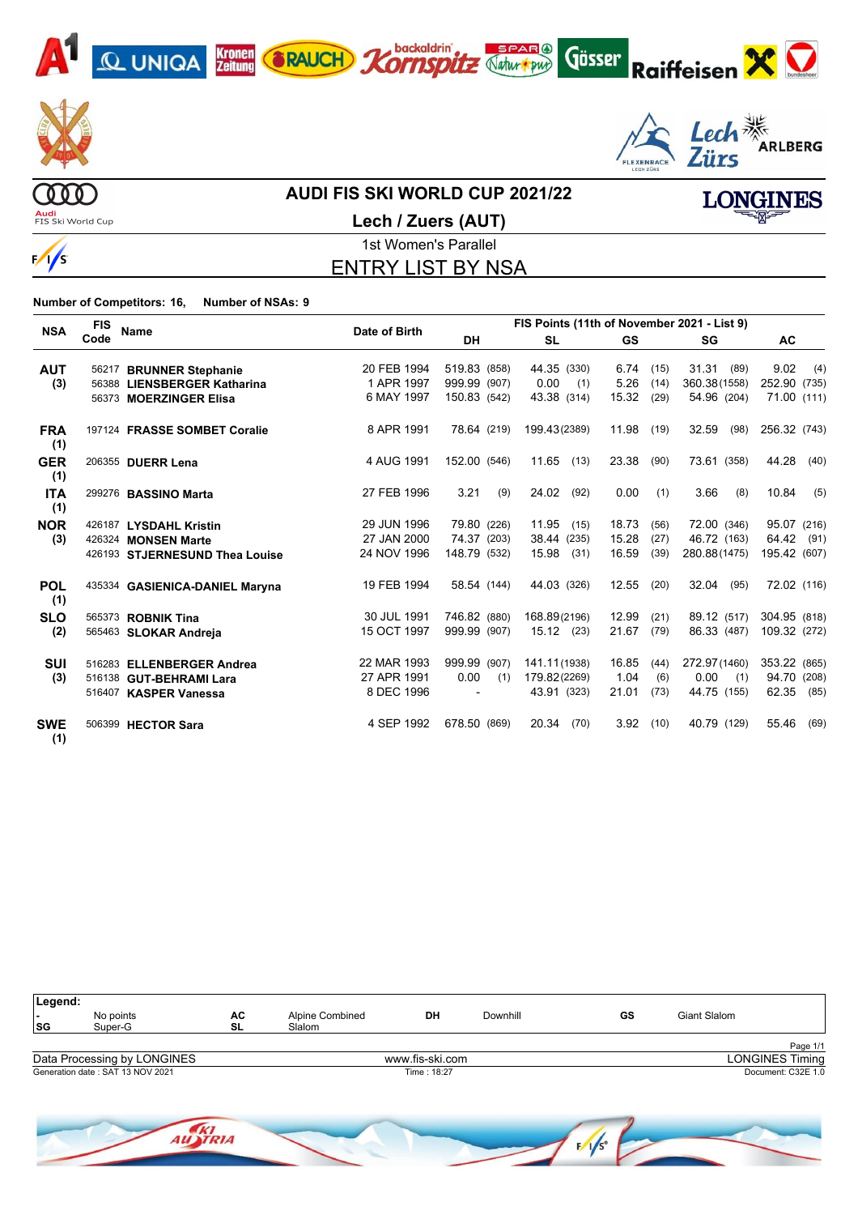







#### **AUDI FIS SKI WORLD CUP 2021/22**

**Audi**<br>FIS Ski World Cup

**Lech / Zuers (AUT)**



**LONGINES** 

1st Women's Parallel

ENTRY LIST BY NSA

**Number of Competitors: 16, Number of NSAs: 9**

| <b>NSA</b>        | <b>FIS</b> | Name                           | Date of Birth | FIS Points (11th of November 2021 - List 9) |               |           |      |               |               |  |  |
|-------------------|------------|--------------------------------|---------------|---------------------------------------------|---------------|-----------|------|---------------|---------------|--|--|
|                   | Code       |                                |               | <b>DH</b>                                   | SL            | <b>GS</b> |      | SG            | AC.           |  |  |
| <b>AUT</b>        |            | 56217 BRUNNER Stephanie        | 20 FEB 1994   | 519.83 (858)                                | 44.35 (330)   | 6.74      | (15) | 31.31 (89)    | 9.02<br>(4)   |  |  |
| (3)               |            | 56388 LIENSBERGER Katharina    | 1 APR 1997    | 999.99 (907)                                | 0.00<br>(1)   | 5.26      | (14) | 360.38(1558)  | 252.90 (735)  |  |  |
|                   |            | 56373 MOERZINGER Elisa         | 6 MAY 1997    | 150.83 (542)                                | 43.38 (314)   | 15.32     | (29) | 54.96 (204)   | 71.00 (111)   |  |  |
| <b>FRA</b><br>(1) |            | 197124 FRASSE SOMBET Coralie   | 8 APR 1991    | 78.64 (219)                                 | 199.43(2389)  | 11.98     | (19) | 32.59<br>(98) | 256.32 (743)  |  |  |
| <b>GER</b><br>(1) |            | 206355 DUERR Lena              | 4 AUG 1991    | 152.00 (546)                                | 11.65<br>(13) | 23.38     | (90) | 73.61 (358)   | 44.28<br>(40) |  |  |
| <b>ITA</b><br>(1) |            | 299276 BASSINO Marta           | 27 FEB 1996   | 3.21<br>(9)                                 | 24.02<br>(92) | 0.00      | (1)  | 3.66<br>(8)   | 10.84<br>(5)  |  |  |
| <b>NOR</b>        |            | 426187 LYSDAHL Kristin         | 29 JUN 1996   | 79.80 (226)                                 | 11.95<br>(15) | 18.73     | (56) | 72.00 (346)   | 95.07 (216)   |  |  |
| (3)               |            | 426324 MONSEN Marte            | 27 JAN 2000   | 74.37 (203)                                 | 38.44 (235)   | 15.28     | (27) | 46.72 (163)   | 64.42 (91)    |  |  |
|                   |            | 426193 STJERNESUND Thea Louise | 24 NOV 1996   | 148.79 (532)                                | 15.98 (31)    | 16.59     | (39) | 280.88(1475)  | 195.42 (607)  |  |  |
| <b>POL</b><br>(1) |            | 435334 GASIENICA-DANIEL Maryna | 19 FEB 1994   | 58.54 (144)                                 | 44.03 (326)   | 12.55     | (20) | 32.04 (95)    | 72.02 (116)   |  |  |
| <b>SLO</b>        |            | 565373 ROBNIK Tina             | 30 JUL 1991   | 746.82 (880)                                | 168.89(2196)  | 12.99     | (21) | 89.12 (517)   | 304.95 (818)  |  |  |
| (2)               |            | 565463 SLOKAR Andreja          | 15 OCT 1997   | 999.99 (907)                                | $15.12$ (23)  | 21.67     | (79) | 86.33 (487)   | 109.32 (272)  |  |  |
| <b>SUI</b>        |            | 516283 ELLENBERGER Andrea      | 22 MAR 1993   | 999.99 (907)                                | 141.11(1938)  | 16.85     | (44) | 272.97(1460)  | 353.22 (865)  |  |  |
| (3)               |            | 516138 GUT-BEHRAMI Lara        | 27 APR 1991   | 0.00<br>(1)                                 | 179.82(2269)  | 1.04      | (6)  | 0.00<br>(1)   | 94.70 (208)   |  |  |
|                   |            | 516407 KASPER Vanessa          | 8 DEC 1996    |                                             | 43.91 (323)   | 21.01     | (73) | 44.75 (155)   | 62.35<br>(85) |  |  |
| <b>SWE</b><br>(1) |            | 506399 HECTOR Sara             | 4 SEP 1992    | 678.50 (869)                                | 20.34<br>(70) | 3.92      | (10) | 40.79 (129)   | 55.46<br>(69) |  |  |

| Legend:<br>$\overline{\phantom{a}}$<br><b>SG</b> | No points<br>Super-G             | АC<br>SL | <b>Alpine Combined</b><br>Slalom | DH              | Downhill | GS | Giant Slalom           |
|--------------------------------------------------|----------------------------------|----------|----------------------------------|-----------------|----------|----|------------------------|
|                                                  |                                  |          |                                  |                 |          |    | Page 1/1               |
|                                                  | Data Processing by LONGINES      |          |                                  | www.fis-ski.com |          |    | <b>LONGINES Timing</b> |
|                                                  | Generation date: SAT 13 NOV 2021 |          |                                  | Time: 18:27     |          |    | Document: C32E 1.0     |
|                                                  |                                  |          |                                  |                 |          |    |                        |
|                                                  |                                  |          |                                  |                 |          |    |                        |

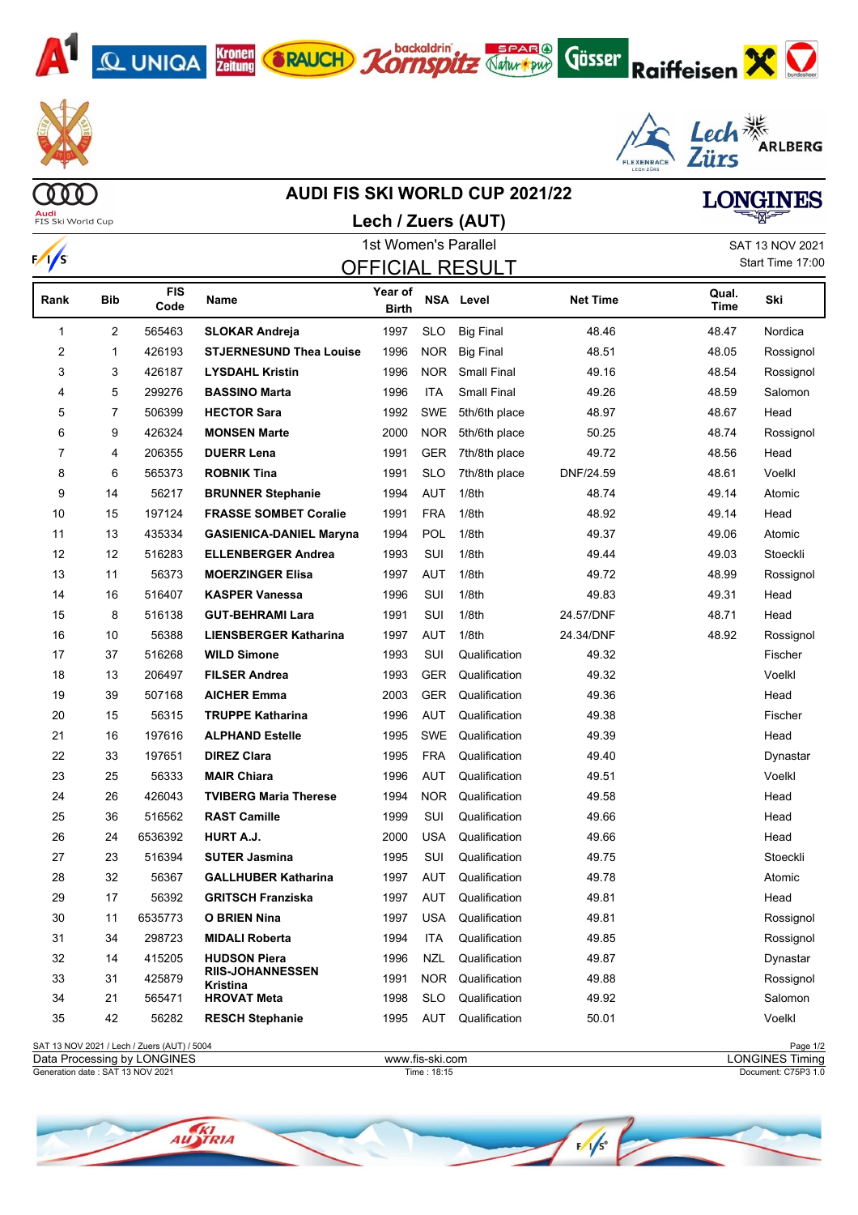





Gösser Raiffeisen X D

|                   |                |                                             | <b>AUDI FIS SKI WORLD CUP 2021/22</b> |                         |                  | <b>LONGINES</b>    |                 |               |           |
|-------------------|----------------|---------------------------------------------|---------------------------------------|-------------------------|------------------|--------------------|-----------------|---------------|-----------|
| FIS Ski World Cup |                |                                             | Lech / Zuers (AUT)                    |                         |                  |                    |                 |               |           |
|                   |                |                                             | 1st Women's Parallel                  |                         | SAT 13 NOV 2021  |                    |                 |               |           |
| $\frac{1}{s}$     |                |                                             | <b>OFFICIAL RESULT</b>                |                         | Start Time 17:00 |                    |                 |               |           |
| Rank              | <b>Bib</b>     | <b>FIS</b><br>Code                          | <b>Name</b>                           | Year of<br><b>Birth</b> |                  | <b>NSA Level</b>   | <b>Net Time</b> | Qual.<br>Time | Ski       |
| 1                 | 2              | 565463                                      | <b>SLOKAR Andreja</b>                 | 1997                    | <b>SLO</b>       | <b>Big Final</b>   | 48.46           | 48.47         | Nordica   |
| 2                 | $\mathbf{1}$   | 426193                                      | <b>STJERNESUND Thea Louise</b>        | 1996                    | NOR.             | <b>Big Final</b>   | 48.51           | 48.05         | Rossignol |
| 3                 | 3              | 426187                                      | <b>LYSDAHL Kristin</b>                | 1996                    | <b>NOR</b>       | <b>Small Final</b> | 49.16           | 48.54         | Rossignol |
| 4                 | 5              | 299276                                      | <b>BASSINO Marta</b>                  | 1996                    | ITA              | <b>Small Final</b> | 49.26           | 48.59         | Salomon   |
| 5                 | $\overline{7}$ | 506399                                      | <b>HECTOR Sara</b>                    | 1992                    | SWE              | 5th/6th place      | 48.97           | 48.67         | Head      |
| 6                 | 9              | 426324                                      | <b>MONSEN Marte</b>                   | 2000                    | <b>NOR</b>       | 5th/6th place      | 50.25           | 48.74         | Rossignol |
| 7                 | 4              | 206355                                      | <b>DUERR Lena</b>                     | 1991                    | <b>GER</b>       | 7th/8th place      | 49.72           | 48.56         | Head      |
| 8                 | 6              | 565373                                      | <b>ROBNIK Tina</b>                    | 1991                    | <b>SLO</b>       | 7th/8th place      | DNF/24.59       | 48.61         | Voelkl    |
| 9                 | 14             | 56217                                       | <b>BRUNNER Stephanie</b>              | 1994                    | AUT              | 1/8th              | 48.74           | 49.14         | Atomic    |
| 10                | 15             | 197124                                      | <b>FRASSE SOMBET Coralie</b>          | 1991                    | <b>FRA</b>       | 1/8th              | 48.92           | 49.14         | Head      |
| 11                | 13             | 435334                                      | <b>GASIENICA-DANIEL Maryna</b>        | 1994                    | POL              | 1/8th              | 49.37           | 49.06         | Atomic    |
| 12                | 12             | 516283                                      | <b>ELLENBERGER Andrea</b>             | 1993                    | SUI              | 1/8th              | 49.44           | 49.03         | Stoeckli  |
| 13                | 11             | 56373                                       | <b>MOERZINGER Elisa</b>               | 1997                    | <b>AUT</b>       | 1/8th              | 49.72           | 48.99         | Rossignol |
| 14                | 16             | 516407                                      | <b>KASPER Vanessa</b>                 | 1996                    | SUI              | 1/8th              | 49.83           | 49.31         | Head      |
| 15                | 8              | 516138                                      | <b>GUT-BEHRAMI Lara</b>               | 1991                    | SUI              | 1/8th              | 24.57/DNF       | 48.71         | Head      |
| 16                | 10             | 56388                                       | <b>LIENSBERGER Katharina</b>          | 1997                    | <b>AUT</b>       | 1/8th              | 24.34/DNF       | 48.92         | Rossignol |
| 17                | 37             | 516268                                      | <b>WILD Simone</b>                    | 1993                    | SUI              | Qualification      | 49.32           |               | Fischer   |
| 18                | 13             | 206497                                      | <b>FILSER Andrea</b>                  | 1993                    | <b>GER</b>       | Qualification      | 49.32           |               | Voelkl    |
| 19                | 39             | 507168                                      | <b>AICHER Emma</b>                    | 2003                    | <b>GER</b>       | Qualification      | 49.36           |               | Head      |
| 20                | 15             | 56315                                       | <b>TRUPPE Katharina</b>               | 1996                    | AUT              | Qualification      | 49.38           |               | Fischer   |
| 21                | 16             | 197616                                      | <b>ALPHAND Estelle</b>                | 1995                    | <b>SWE</b>       | Qualification      | 49.39           |               | Head      |
| 22                | 33             | 197651                                      | <b>DIREZ Clara</b>                    | 1995                    | <b>FRA</b>       | Qualification      | 49.40           |               | Dynastar  |
| 23                | 25             | 56333                                       | <b>MAIR Chiara</b>                    | 1996                    | AUT              | Qualification      | 49.51           |               | Voelkl    |
| 24                | 26             | 426043                                      | <b>TVIBERG Maria Therese</b>          | 1994                    | <b>NOR</b>       | Qualification      | 49.58           |               | Head      |
| 25                | 36             | 516562                                      | <b>RAST Camille</b>                   | 1999                    | SUI              | Qualification      | 49.66           |               | Head      |
| 26                | 24             | 6536392                                     | HURT A.J.                             | 2000                    | <b>USA</b>       | Qualification      | 49.66           |               | Head      |
| 27                | 23             | 516394                                      | <b>SUTER Jasmina</b>                  | 1995                    | SUI              | Qualification      | 49.75           |               | Stoeckli  |
| 28                | 32             | 56367                                       | <b>GALLHUBER Katharina</b>            | 1997                    | AUT              | Qualification      | 49.78           |               | Atomic    |
| 29                | 17             | 56392                                       | <b>GRITSCH Franziska</b>              | 1997                    | <b>AUT</b>       | Qualification      | 49.81           |               | Head      |
| 30                | 11             | 6535773                                     | <b>O BRIEN Nina</b>                   | 1997                    | <b>USA</b>       | Qualification      | 49.81           |               | Rossignol |
| 31                | 34             | 298723                                      | <b>MIDALI Roberta</b>                 | 1994                    | ITA              | Qualification      | 49.85           |               | Rossignol |
| 32                | 14             | 415205                                      | <b>HUDSON Piera</b>                   | 1996                    | <b>NZL</b>       | Qualification      | 49.87           |               | Dynastar  |
| 33                | 31             | 425879                                      | <b>RIIS-JOHANNESSEN</b><br>Kristina   | 1991                    | <b>NOR</b>       | Qualification      | 49.88           |               | Rossignol |
| 34                | 21             | 565471                                      | <b>HROVAT Meta</b>                    | 1998                    | <b>SLO</b>       | Qualification      | 49.92           |               | Salomon   |
| 35                | 42             | 56282                                       | <b>RESCH Stephanie</b>                | 1995                    | <b>AUT</b>       | Qualification      | 50.01           |               | Voelkl    |
|                   |                | SAT 13 NOV 2021 / Lech / Zuers (AUT) / 5004 |                                       |                         |                  |                    |                 |               | Page 1/2  |

Generation date : SAT 13 NOV 2021 Time : 18:15 Document: C75P3 1.0

Data Processing by LONGINES www.fis-ski.com LONGINES Timing

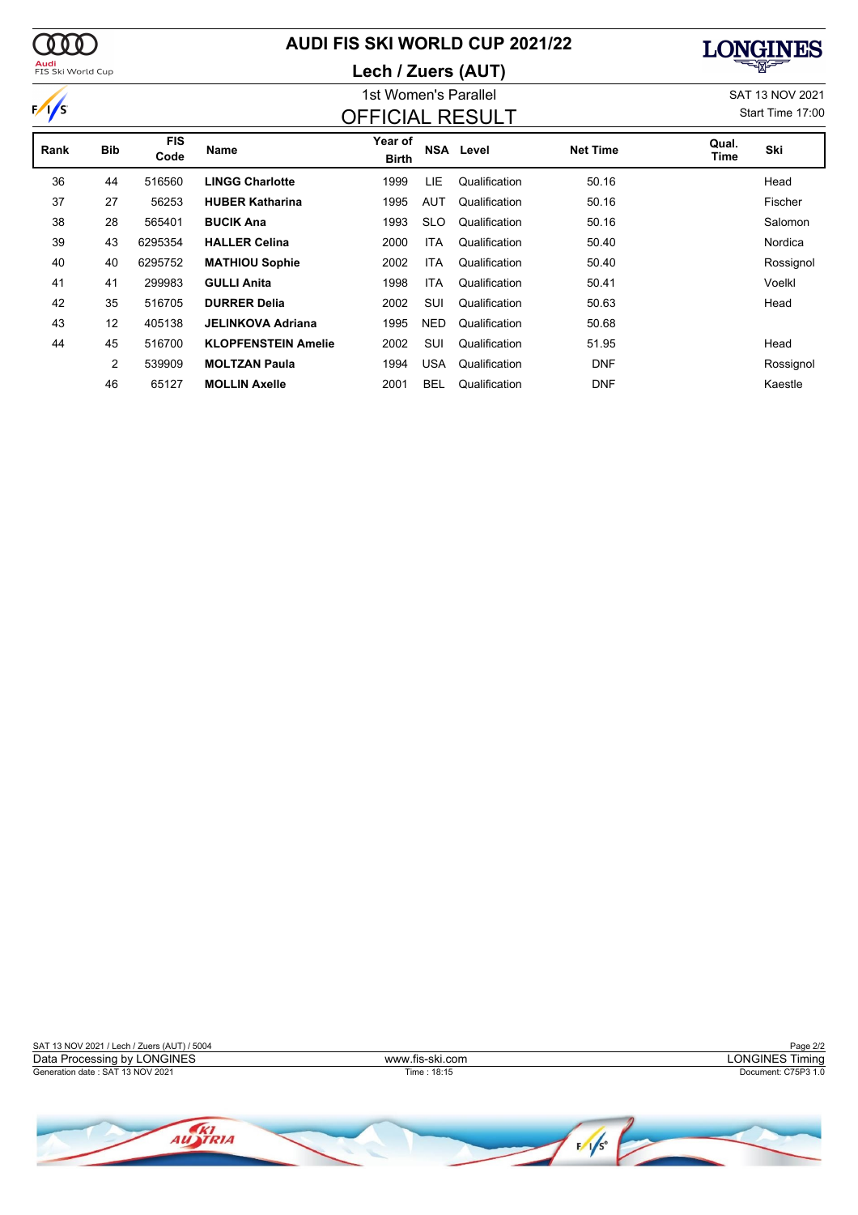$\sqrt{\frac{1}{2}}$ 

## **AUDI FIS SKI WORLD CUP 2021/22**

### **Lech / Zuers (AUT)**



1st Women's Parallel Same Control of the SAT 13 NOV 2021 Start Time 17:00

| $\sqrt{s}$ |            |                    |                            | <b>OFFICIAL RESULT</b> |            |                  |                 |               | Start Time 17:00 |
|------------|------------|--------------------|----------------------------|------------------------|------------|------------------|-----------------|---------------|------------------|
| Rank       | <b>Bib</b> | <b>FIS</b><br>Code | Name                       | Year of<br>Birth       |            | <b>NSA Level</b> | <b>Net Time</b> | Qual.<br>Time | Ski              |
| 36         | 44         | 516560             | <b>LINGG Charlotte</b>     | 1999                   | LIE        | Qualification    | 50.16           |               | Head             |
| 37         | 27         | 56253              | <b>HUBER Katharina</b>     | 1995                   | AUT        | Qualification    | 50.16           |               | Fischer          |
| 38         | 28         | 565401             | <b>BUCIK Ana</b>           | 1993                   | <b>SLO</b> | Qualification    | 50.16           |               | Salomon          |
| 39         | 43         | 6295354            | <b>HALLER Celina</b>       | 2000                   | <b>ITA</b> | Qualification    | 50.40           |               | Nordica          |
| 40         | 40         | 6295752            | <b>MATHIOU Sophie</b>      | 2002                   | <b>ITA</b> | Qualification    | 50.40           |               | Rossignol        |
| 41         | 41         | 299983             | <b>GULLI Anita</b>         | 1998                   | <b>ITA</b> | Qualification    | 50.41           |               | Voelkl           |
| 42         | 35         | 516705             | <b>DURRER Delia</b>        | 2002                   | SUI        | Qualification    | 50.63           |               | Head             |
| 43         | 12         | 405138             | <b>JELINKOVA Adriana</b>   | 1995                   | <b>NED</b> | Qualification    | 50.68           |               |                  |
| 44         | 45         | 516700             | <b>KLOPFENSTEIN Amelie</b> | 2002                   | SUI        | Qualification    | 51.95           |               | Head             |
|            | 2          | 539909             | <b>MOLTZAN Paula</b>       | 1994                   | <b>USA</b> | Qualification    | <b>DNF</b>      |               | Rossignol        |
|            | 46         | 65127              | <b>MOLLIN Axelle</b>       | 2001                   | <b>BEL</b> | Qualification    | <b>DNF</b>      |               | Kaestle          |

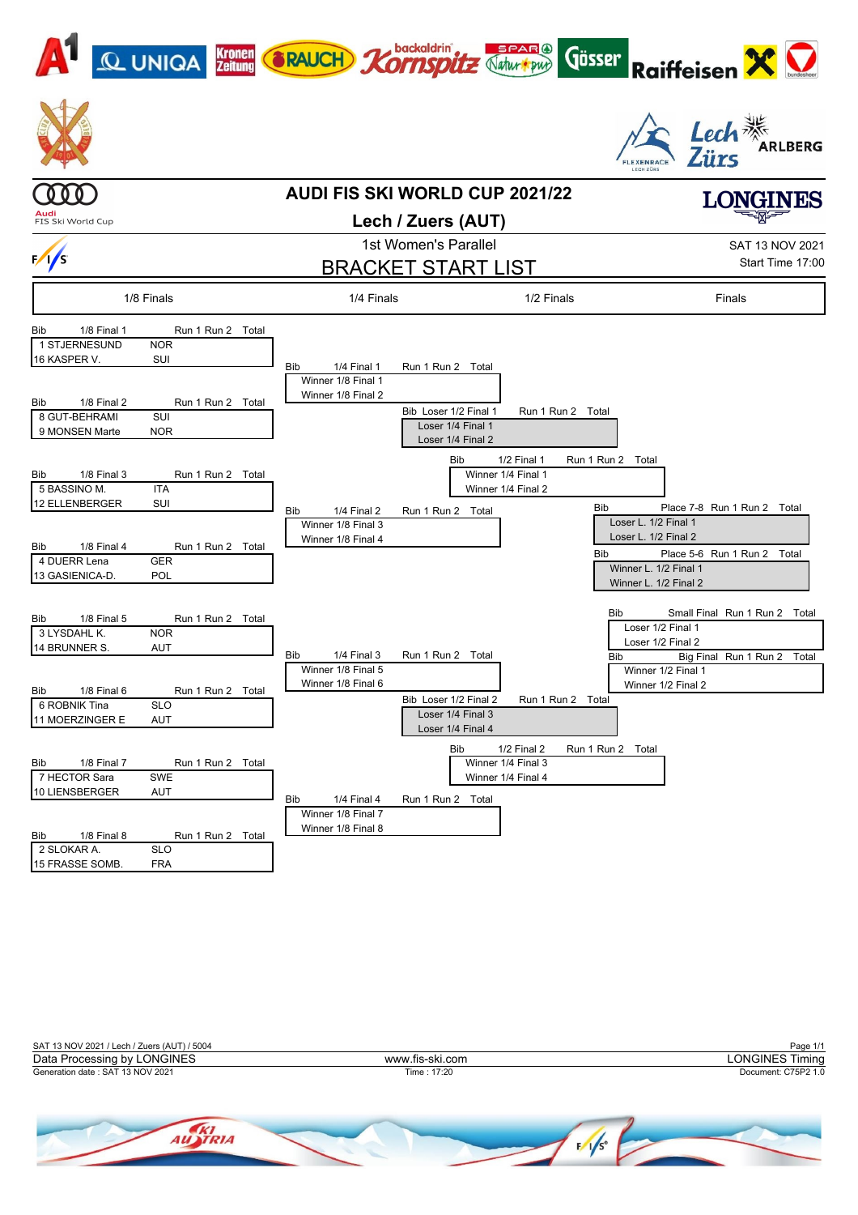

Page 1/1 Page 1/1 Page 1/1 Page 1/1 Page 1/1 Page 1/1 Page 1/1 Page 1/1 Page 1/1<br>Data Processing by LONGINES Timing Generation date : SAT 13 NOV 2021 Time : 17:20 Document: C75P2 1.0 Data Processing by LONGINES www.fis-ski.com

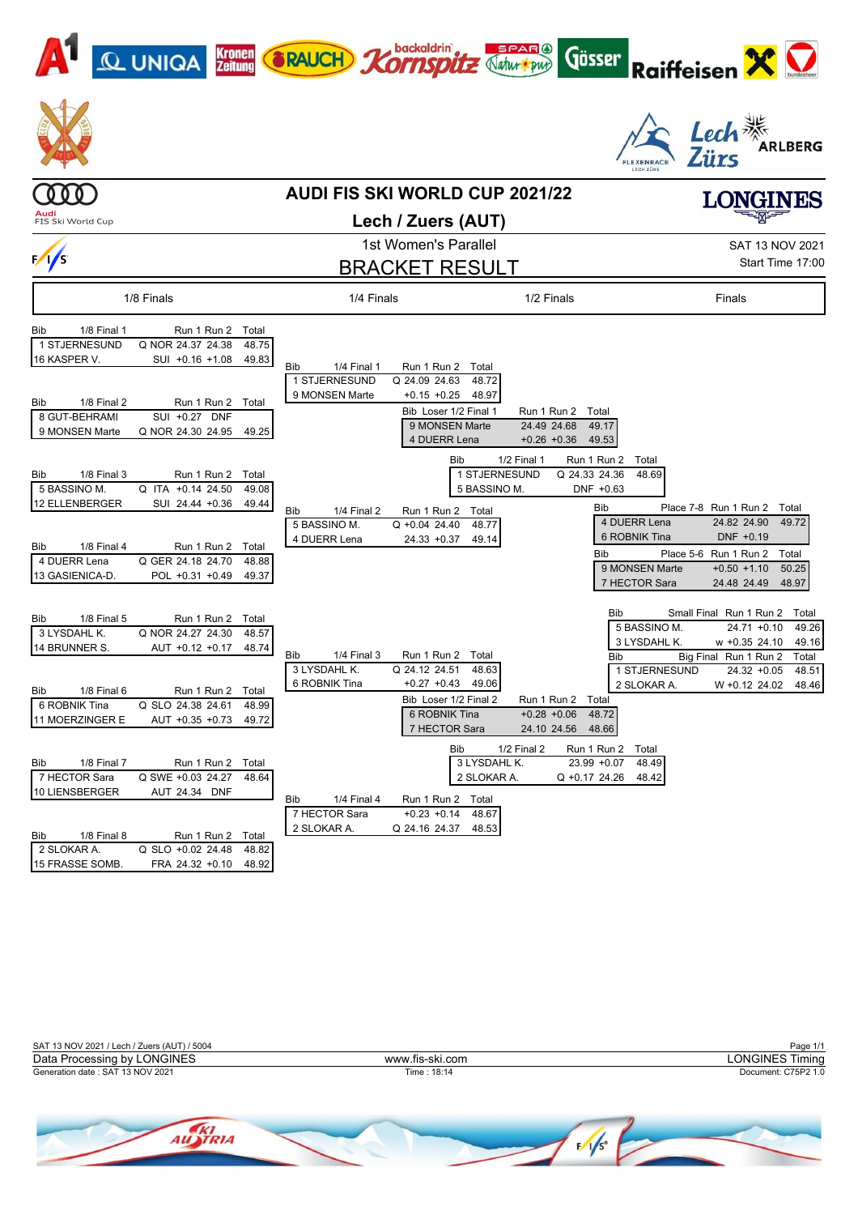| $\Delta$<br><b>Kronen</b><br>Zeitung<br><b>Q UNIGA</b>                                                                                                                                                                                                                                                                                                                                                                                                                                                                                                             | <b>CRAUCH Kornspitz</b>                                                                                                                                                                                                                                                                                                                                                                                                                      | <b>Gösser</b><br><b>Raiffeisen</b>                                                                                                                                                                                                                                                                                                                                           |
|--------------------------------------------------------------------------------------------------------------------------------------------------------------------------------------------------------------------------------------------------------------------------------------------------------------------------------------------------------------------------------------------------------------------------------------------------------------------------------------------------------------------------------------------------------------------|----------------------------------------------------------------------------------------------------------------------------------------------------------------------------------------------------------------------------------------------------------------------------------------------------------------------------------------------------------------------------------------------------------------------------------------------|------------------------------------------------------------------------------------------------------------------------------------------------------------------------------------------------------------------------------------------------------------------------------------------------------------------------------------------------------------------------------|
|                                                                                                                                                                                                                                                                                                                                                                                                                                                                                                                                                                    |                                                                                                                                                                                                                                                                                                                                                                                                                                              | Lech <sup>*</sup><br><b>ARLBERG</b><br><b>LECH ZÜRS</b>                                                                                                                                                                                                                                                                                                                      |
|                                                                                                                                                                                                                                                                                                                                                                                                                                                                                                                                                                    | <b>AUDI FIS SKI WORLD CUP 2021/22</b>                                                                                                                                                                                                                                                                                                                                                                                                        | ONGINIBS                                                                                                                                                                                                                                                                                                                                                                     |
| FIS Ski World Cup                                                                                                                                                                                                                                                                                                                                                                                                                                                                                                                                                  | Lech / Zuers (AUT)                                                                                                                                                                                                                                                                                                                                                                                                                           |                                                                                                                                                                                                                                                                                                                                                                              |
|                                                                                                                                                                                                                                                                                                                                                                                                                                                                                                                                                                    | 1st Women's Parallel                                                                                                                                                                                                                                                                                                                                                                                                                         | SAT 13 NOV 2021                                                                                                                                                                                                                                                                                                                                                              |
| $\frac{1}{s}$                                                                                                                                                                                                                                                                                                                                                                                                                                                                                                                                                      | <b>BRACKET RESULT</b>                                                                                                                                                                                                                                                                                                                                                                                                                        | Start Time 17:00                                                                                                                                                                                                                                                                                                                                                             |
| 1/8 Finals                                                                                                                                                                                                                                                                                                                                                                                                                                                                                                                                                         | 1/4 Finals<br>1/2 Finals                                                                                                                                                                                                                                                                                                                                                                                                                     | Finals                                                                                                                                                                                                                                                                                                                                                                       |
| 1/8 Final 1<br>Run 1 Run 2<br><b>Bib</b><br>Total<br>1 STJERNESUND<br>Q NOR 24.37 24.38<br>48.75<br>16 KASPER V.<br>SUI +0.16 +1.08<br>49.83<br>1/8 Final 2<br>Run 1 Run 2 Total<br>Bib<br>8 GUT-BEHRAMI<br>SUI +0.27 DNF<br>9 MONSEN Marte<br>Q NOR 24.30 24.95<br>49.25<br>1/8 Final 3<br>Run 1 Run 2 Total<br><b>Bib</b><br>5 BASSINO M.<br>Q ITA +0.14 24.50<br>49.08<br>12 ELLENBERGER<br>SUI 24.44 +0.36<br>49.44<br>1/8 Final 4<br>Run 1 Run 2<br>Bib<br>Total<br>4 DUERR Lena<br>Q GER 24.18 24.70<br>48.88<br>13 GASIENICA-D.<br>POL +0.31 +0.49<br>49.37 | <b>Bib</b><br>1/4 Final 1<br>Run 1 Run 2 Total<br>1 STJERNESUND<br>Q 24.09 24.63<br>48.72<br>9 MONSEN Marte<br>$+0.15 +0.25$<br>48.97<br>Bib Loser 1/2 Final 1<br>Run 1 Run 2 Total<br>24.49 24.68<br>9 MONSEN Marte<br>4 DUERR Lena<br>$+0.26 +0.36$<br>1/2 Final 1<br>Bib<br>1 STJERNESUND<br>5 BASSINO M.<br>1/4 Final 2<br>Bib<br>Run 1 Run 2 Total<br>5 BASSINO M.<br>Q +0.04 24.40<br>48.77<br>4 DUERR Lena<br>$24.33 + 0.37$<br>49.14 | 49.17<br>49.53<br>Run 1 Run 2<br>Total<br>Q 24.33 24.36<br>48.69<br>DNF +0.63<br>Bib<br>Place 7-8 Run 1 Run 2 Total<br>4 DUERR Lena<br>24.82 24.90<br>49.72<br>6 ROBNIK Tina<br>DNF +0.19<br>Place 5-6 Run 1 Run 2<br>Bib<br>Total<br>9 MONSEN Marte<br>$+0.50 +1.10$<br>50.25<br>7 HECTOR Sara<br>24.48 24.49<br>48.97                                                      |
| 1/8 Final 5<br>Run 1 Run 2 Total<br>Bib<br>3 LYSDAHL K.<br>Q NOR 24.27 24.30<br>48.57<br>14 BRUNNER S.<br>AUT +0.12 +0.17<br>48.74<br>Bib<br>$1/8$ Final $6$<br>Run 1 Run 2 Total<br>6 ROBNIK Tina<br>Q SLO 24.38 24.61<br>48.99<br>11 MOERZINGER E<br>AUT +0.35 +0.73<br>49.72<br>1/8 Final 7<br>Run 1 Run 2 Total<br>Bib<br>7 HECTOR Sara<br>Q SWE +0.03 24.27<br>48.64<br>10 LIENSBERGER<br>AUT 24.34 DNF<br>1/8 Final 8<br>Run 1 Run 2 Total<br>Bib<br>2 SLOKAR A.<br>Q SLO +0.02 24.48 48.82<br>15 FRASSE SOMB.<br>FRA 24.32 +0.10 48.92                      | <b>Bib</b><br>1/4 Final 3<br>Run 1 Run 2 Total<br>3 LYSDAHL K.<br>Q 24.12 24.51<br>48.63<br>6 ROBNIK Tina<br>$+0.27 +0.43$<br>49.06<br>Bib Loser 1/2 Final 2<br>Run 1 Run 2<br>6 ROBNIK Tina<br>$+0.28 + 0.06$<br>7 HECTOR Sara<br>1/2 Final 2<br>Bib<br>3 LYSDAHL K.<br>2 SLOKAR A.<br>1/4 Final 4<br>Bib<br>Run 1 Run 2 Total<br>7 HECTOR Sara<br>$+0.23 +0.14$<br>48.67<br>2 SLOKAR A.<br>Q 24.16 24.37 48.53                             | Small Final Run 1 Run 2<br>Total<br>Bib.<br>5 BASSINO M.<br>$24.71 + 0.10$<br>49.26<br>3 LYSDAHL K.<br>w +0.35 24.10<br>49.16<br>Big Final Run 1 Run 2<br>Bib<br>Total<br>1 STJERNESUND<br>$24.32 + 0.05$<br>48.51<br>2 SLOKAR A.<br>W +0.12 24.02<br>48.46<br>Total<br>48.72<br>24.10 24.56 48.66<br>Run 1 Run 2<br>Total<br>23.99 +0.07<br>48.49<br>Q +0.17 24.26<br>48.42 |

 $\sim$ 

| SAT 13 NOV 2021 / Lech / Zuers (AUT) / 5004 |                 | Page 1/1               |
|---------------------------------------------|-----------------|------------------------|
| Data Processing by LONGINES                 | www.fis-ski.com | <b>LONGINES Timing</b> |
| Generation date: SAT 13 NOV 2021            | Time : 18:14    | Document: C75P2 1.0    |
|                                             |                 |                        |

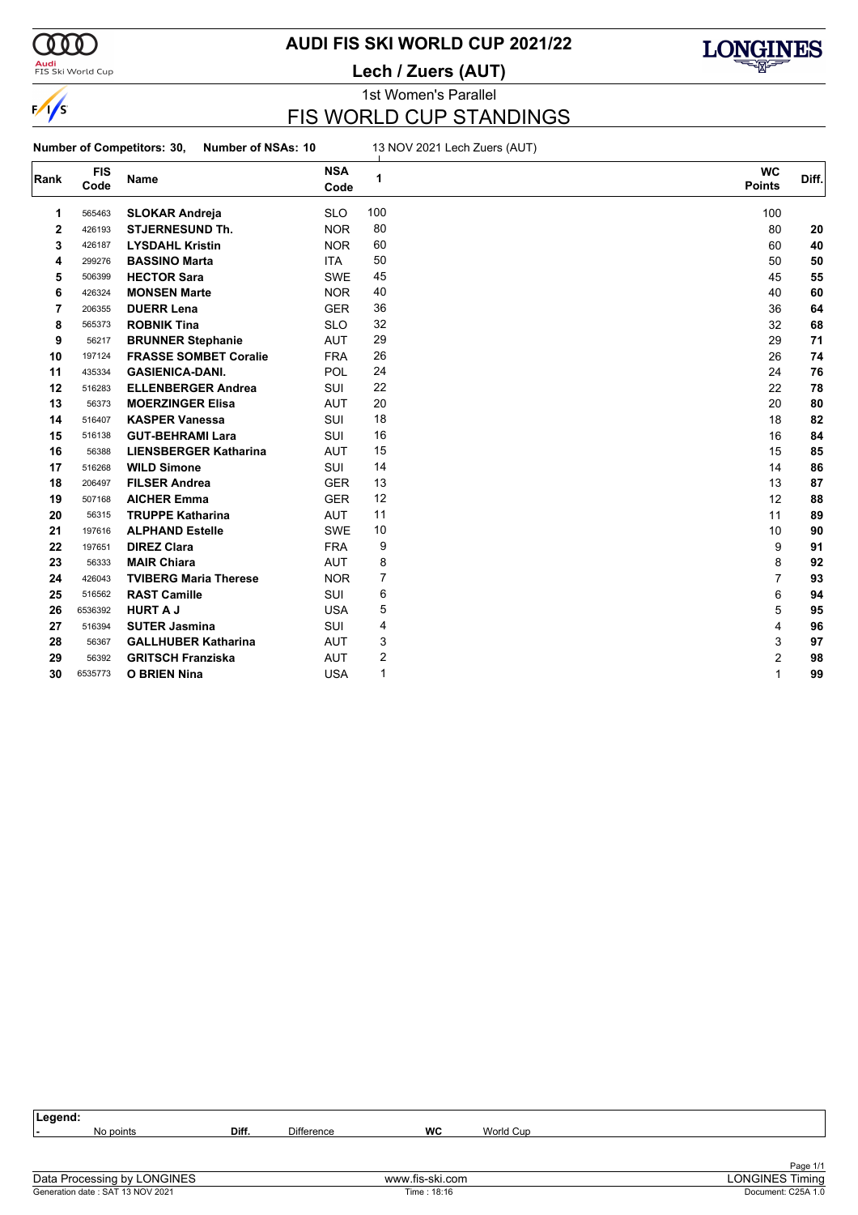

### **Audi**<br>FIS Ski World Cup

# **AUDI FIS SKI WORLD CUP 2021/22**

**Lech / Zuers (AUT)**



## 1st Women's Parallel FIS WORLD CUP STANDINGS

**Number of Competitors: 30, Number of NSAs: 10** 13 NOV 2021 Lech Zuers (AUT)

| Rank | <b>FIS</b><br>Code | Name                         | <b>NSA</b><br>Code | 1   | <b>WC</b><br><b>Points</b> | Diff. |
|------|--------------------|------------------------------|--------------------|-----|----------------------------|-------|
|      |                    |                              |                    |     |                            |       |
| 1    | 565463             | <b>SLOKAR Andreja</b>        | <b>SLO</b>         | 100 | 100                        |       |
| 2    | 426193             | <b>STJERNESUND Th.</b>       | <b>NOR</b>         | 80  | 80                         | 20    |
| 3    | 426187             | <b>LYSDAHL Kristin</b>       | <b>NOR</b>         | 60  | 60                         | 40    |
| 4    | 299276             | <b>BASSINO Marta</b>         | <b>ITA</b>         | 50  | 50                         | 50    |
| 5    | 506399             | <b>HECTOR Sara</b>           | <b>SWE</b>         | 45  | 45                         | 55    |
| 6    | 426324             | <b>MONSEN Marte</b>          | <b>NOR</b>         | 40  | 40                         | 60    |
| 7    | 206355             | <b>DUERR Lena</b>            | <b>GER</b>         | 36  | 36                         | 64    |
| 8    | 565373             | <b>ROBNIK Tina</b>           | <b>SLO</b>         | 32  | 32                         | 68    |
| 9    | 56217              | <b>BRUNNER Stephanie</b>     | <b>AUT</b>         | 29  | 29                         | 71    |
| 10   | 197124             | <b>FRASSE SOMBET Coralie</b> | <b>FRA</b>         | 26  | 26                         | 74    |
| 11   | 435334             | <b>GASIENICA-DANI.</b>       | POL                | 24  | 24                         | 76    |
| 12   | 516283             | <b>ELLENBERGER Andrea</b>    | SUI                | 22  | 22                         | 78    |
| 13   | 56373              | <b>MOERZINGER Elisa</b>      | <b>AUT</b>         | 20  | 20                         | 80    |
| 14   | 516407             | <b>KASPER Vanessa</b>        | SUI                | 18  | 18                         | 82    |
| 15   | 516138             | <b>GUT-BEHRAMI Lara</b>      | SUI                | 16  | 16                         | 84    |
| 16   | 56388              | <b>LIENSBERGER Katharina</b> | <b>AUT</b>         | 15  | 15                         | 85    |
| 17   | 516268             | <b>WILD Simone</b>           | SUI                | 14  | 14                         | 86    |
| 18   | 206497             | <b>FILSER Andrea</b>         | <b>GER</b>         | 13  | 13                         | 87    |
| 19   | 507168             | <b>AICHER Emma</b>           | <b>GER</b>         | 12  | 12                         | 88    |
| 20   | 56315              | <b>TRUPPE Katharina</b>      | <b>AUT</b>         | 11  | 11                         | 89    |
| 21   | 197616             | <b>ALPHAND Estelle</b>       | <b>SWE</b>         | 10  | 10                         | 90    |
| 22   | 197651             | <b>DIREZ Clara</b>           | <b>FRA</b>         | 9   | 9                          | 91    |
| 23   | 56333              | <b>MAIR Chiara</b>           | <b>AUT</b>         | 8   | 8                          | 92    |
| 24   | 426043             | <b>TVIBERG Maria Therese</b> | <b>NOR</b>         | 7   | $\overline{7}$             | 93    |
| 25   | 516562             | <b>RAST Camille</b>          | SUI                | 6   | 6                          | 94    |
| 26   | 6536392            | <b>HURT A J</b>              | <b>USA</b>         | 5   | 5                          | 95    |
| 27   | 516394             | <b>SUTER Jasmina</b>         | SUI                | 4   | $\overline{4}$             | 96    |
| 28   | 56367              | <b>GALLHUBER Katharina</b>   | <b>AUT</b>         | 3   | 3                          | 97    |
| 29   | 56392              | <b>GRITSCH Franziska</b>     | <b>AUT</b>         | 2   | 2                          | 98    |
| 30   | 6535773            | <b>O BRIEN Nina</b>          | <b>USA</b>         | 1   | 1                          | 99    |
|      |                    |                              |                    |     |                            |       |

| Legend:                                                                                                                                                                                                                                                                                                                            |       |                   |                                                                                                                 |           |          |
|------------------------------------------------------------------------------------------------------------------------------------------------------------------------------------------------------------------------------------------------------------------------------------------------------------------------------------|-------|-------------------|-----------------------------------------------------------------------------------------------------------------|-----------|----------|
| No points                                                                                                                                                                                                                                                                                                                          | Diff. | <b>Difference</b> | WC                                                                                                              | World Cup |          |
|                                                                                                                                                                                                                                                                                                                                    |       |                   |                                                                                                                 |           |          |
|                                                                                                                                                                                                                                                                                                                                    |       |                   |                                                                                                                 |           |          |
|                                                                                                                                                                                                                                                                                                                                    |       |                   |                                                                                                                 |           | Page 1/1 |
| $\mathbb{R}$ $\mathbb{R}$ $\mathbb{R}$ $\mathbb{R}$ $\mathbb{R}$ $\mathbb{R}$ $\mathbb{R}$ $\mathbb{R}$ $\mathbb{R}$ $\mathbb{R}$ $\mathbb{R}$ $\mathbb{R}$ $\mathbb{R}$ $\mathbb{R}$ $\mathbb{R}$ $\mathbb{R}$ $\mathbb{R}$ $\mathbb{R}$ $\mathbb{R}$ $\mathbb{R}$ $\mathbb{R}$ $\mathbb{R}$ $\mathbb{R}$ $\mathbb{R}$ $\mathbb{$ |       |                   | the contract of the contract of the contract of the contract of the contract of the contract of the contract of |           | $\sim$   |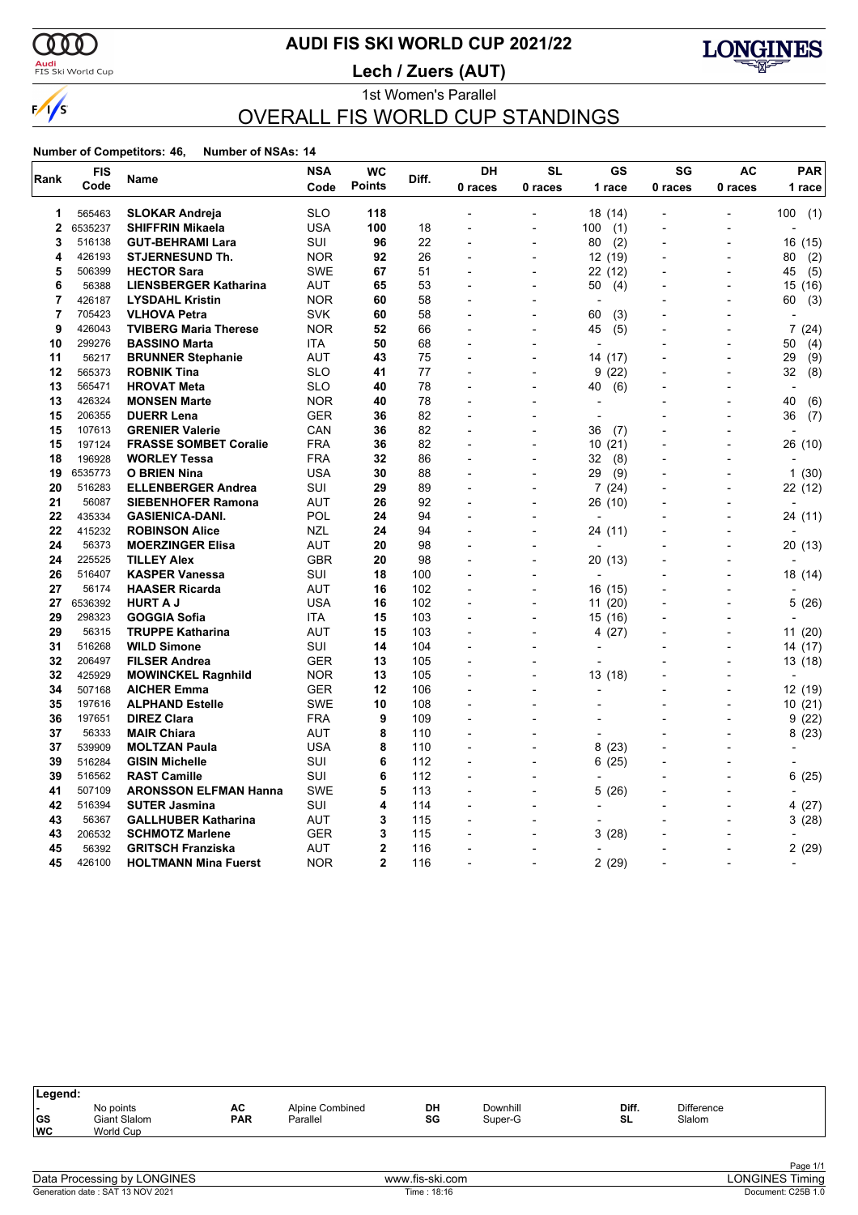

 $\frac{1}{s}$ 

# **AUDI FIS SKI WORLD CUP 2021/22**

<mark>Audi</mark><br>FIS Ski World Cup

1st Women's Parallel **Lech / Zuers (AUT)**



# OVERALL FIS WORLD CUP STANDINGS

### **Number of Competitors: 46, Number of NSAs: 14**

| <b>FIS</b> |                                                                                                                                                                                                                                                                                  | <b>NSA</b>                                                                                                                                                                                                                                                                                                                                                                                                                                                                                                                                                                                                                                                                                                            | <b>WC</b>                                                                                                                                                                                                                                                                                                                      |                                                                                                                                                                 | DH                                                                                                                                                                                                       | <b>SL</b>                                          | GS                                                                             | SG                                                                                                                                                                                                                                                                                   | AC                       | <b>PAR</b>     |
|------------|----------------------------------------------------------------------------------------------------------------------------------------------------------------------------------------------------------------------------------------------------------------------------------|-----------------------------------------------------------------------------------------------------------------------------------------------------------------------------------------------------------------------------------------------------------------------------------------------------------------------------------------------------------------------------------------------------------------------------------------------------------------------------------------------------------------------------------------------------------------------------------------------------------------------------------------------------------------------------------------------------------------------|--------------------------------------------------------------------------------------------------------------------------------------------------------------------------------------------------------------------------------------------------------------------------------------------------------------------------------|-----------------------------------------------------------------------------------------------------------------------------------------------------------------|----------------------------------------------------------------------------------------------------------------------------------------------------------------------------------------------------------|----------------------------------------------------|--------------------------------------------------------------------------------|--------------------------------------------------------------------------------------------------------------------------------------------------------------------------------------------------------------------------------------------------------------------------------------|--------------------------|----------------|
| Code       |                                                                                                                                                                                                                                                                                  | Code                                                                                                                                                                                                                                                                                                                                                                                                                                                                                                                                                                                                                                                                                                                  | <b>Points</b>                                                                                                                                                                                                                                                                                                                  |                                                                                                                                                                 | 0 races                                                                                                                                                                                                  | 0 races                                            | 1 race                                                                         | 0 races                                                                                                                                                                                                                                                                              | 0 races                  | 1 race         |
| 565463     |                                                                                                                                                                                                                                                                                  | <b>SLO</b>                                                                                                                                                                                                                                                                                                                                                                                                                                                                                                                                                                                                                                                                                                            | 118                                                                                                                                                                                                                                                                                                                            |                                                                                                                                                                 | ÷                                                                                                                                                                                                        |                                                    |                                                                                |                                                                                                                                                                                                                                                                                      |                          | 100<br>(1)     |
| 6535237    | <b>SHIFFRIN Mikaela</b>                                                                                                                                                                                                                                                          | <b>USA</b>                                                                                                                                                                                                                                                                                                                                                                                                                                                                                                                                                                                                                                                                                                            | 100                                                                                                                                                                                                                                                                                                                            | 18                                                                                                                                                              |                                                                                                                                                                                                          |                                                    | 100                                                                            |                                                                                                                                                                                                                                                                                      |                          |                |
| 516138     | <b>GUT-BEHRAMI Lara</b>                                                                                                                                                                                                                                                          | <b>SUI</b>                                                                                                                                                                                                                                                                                                                                                                                                                                                                                                                                                                                                                                                                                                            | 96                                                                                                                                                                                                                                                                                                                             | 22                                                                                                                                                              | L,                                                                                                                                                                                                       | $\blacksquare$                                     | (2)<br>80                                                                      | $\overline{\phantom{a}}$                                                                                                                                                                                                                                                             |                          | 16 (15)        |
| 426193     | <b>STJERNESUND Th.</b>                                                                                                                                                                                                                                                           | <b>NOR</b>                                                                                                                                                                                                                                                                                                                                                                                                                                                                                                                                                                                                                                                                                                            | 92                                                                                                                                                                                                                                                                                                                             | 26                                                                                                                                                              |                                                                                                                                                                                                          |                                                    | 12 (19)                                                                        |                                                                                                                                                                                                                                                                                      |                          | (2)<br>80      |
| 506399     | <b>HECTOR Sara</b>                                                                                                                                                                                                                                                               | <b>SWE</b>                                                                                                                                                                                                                                                                                                                                                                                                                                                                                                                                                                                                                                                                                                            | 67                                                                                                                                                                                                                                                                                                                             | 51                                                                                                                                                              | $\overline{a}$                                                                                                                                                                                           | $\overline{\phantom{a}}$                           | 22 (12)                                                                        | $\overline{a}$                                                                                                                                                                                                                                                                       | $\overline{\phantom{0}}$ | (5)<br>45      |
| 56388      | <b>LIENSBERGER Katharina</b>                                                                                                                                                                                                                                                     | AUT                                                                                                                                                                                                                                                                                                                                                                                                                                                                                                                                                                                                                                                                                                                   | 65                                                                                                                                                                                                                                                                                                                             | 53                                                                                                                                                              |                                                                                                                                                                                                          |                                                    | 50<br>(4)                                                                      |                                                                                                                                                                                                                                                                                      |                          | 15 (16)        |
| 426187     | <b>LYSDAHL Kristin</b>                                                                                                                                                                                                                                                           | <b>NOR</b>                                                                                                                                                                                                                                                                                                                                                                                                                                                                                                                                                                                                                                                                                                            | 60                                                                                                                                                                                                                                                                                                                             | 58                                                                                                                                                              | $\overline{\phantom{a}}$                                                                                                                                                                                 | $\blacksquare$                                     | ÷,                                                                             | $\overline{a}$                                                                                                                                                                                                                                                                       | $\overline{\phantom{0}}$ | (3)<br>60      |
| 705423     | <b>VLHOVA Petra</b>                                                                                                                                                                                                                                                              | <b>SVK</b>                                                                                                                                                                                                                                                                                                                                                                                                                                                                                                                                                                                                                                                                                                            | 60                                                                                                                                                                                                                                                                                                                             | 58                                                                                                                                                              | $\overline{a}$                                                                                                                                                                                           | $\overline{a}$                                     | 60<br>(3)                                                                      |                                                                                                                                                                                                                                                                                      |                          | $\overline{a}$ |
| 426043     | <b>TVIBERG Maria Therese</b>                                                                                                                                                                                                                                                     | <b>NOR</b>                                                                                                                                                                                                                                                                                                                                                                                                                                                                                                                                                                                                                                                                                                            | 52                                                                                                                                                                                                                                                                                                                             | 66                                                                                                                                                              | L,                                                                                                                                                                                                       | $\overline{a}$                                     | (5)<br>45                                                                      | $\overline{a}$                                                                                                                                                                                                                                                                       |                          | 7(24)          |
| 299276     | <b>BASSINO Marta</b>                                                                                                                                                                                                                                                             | <b>ITA</b>                                                                                                                                                                                                                                                                                                                                                                                                                                                                                                                                                                                                                                                                                                            | 50                                                                                                                                                                                                                                                                                                                             | 68                                                                                                                                                              |                                                                                                                                                                                                          |                                                    | $\overline{a}$                                                                 |                                                                                                                                                                                                                                                                                      |                          | (4)<br>50      |
|            | <b>BRUNNER Stephanie</b>                                                                                                                                                                                                                                                         |                                                                                                                                                                                                                                                                                                                                                                                                                                                                                                                                                                                                                                                                                                                       |                                                                                                                                                                                                                                                                                                                                |                                                                                                                                                                 |                                                                                                                                                                                                          |                                                    | 14 (17)                                                                        |                                                                                                                                                                                                                                                                                      |                          | 29<br>(9)      |
| 565373     | <b>ROBNIK Tina</b>                                                                                                                                                                                                                                                               | <b>SLO</b>                                                                                                                                                                                                                                                                                                                                                                                                                                                                                                                                                                                                                                                                                                            | 41                                                                                                                                                                                                                                                                                                                             |                                                                                                                                                                 |                                                                                                                                                                                                          |                                                    | (22)<br>9                                                                      |                                                                                                                                                                                                                                                                                      |                          | 32<br>(8)      |
| 565471     | <b>HROVAT Meta</b>                                                                                                                                                                                                                                                               | <b>SLO</b>                                                                                                                                                                                                                                                                                                                                                                                                                                                                                                                                                                                                                                                                                                            | 40                                                                                                                                                                                                                                                                                                                             |                                                                                                                                                                 |                                                                                                                                                                                                          |                                                    | (6)<br>40                                                                      |                                                                                                                                                                                                                                                                                      |                          | ÷,             |
|            |                                                                                                                                                                                                                                                                                  |                                                                                                                                                                                                                                                                                                                                                                                                                                                                                                                                                                                                                                                                                                                       |                                                                                                                                                                                                                                                                                                                                |                                                                                                                                                                 |                                                                                                                                                                                                          |                                                    | L,                                                                             |                                                                                                                                                                                                                                                                                      |                          | 40<br>(6)      |
|            |                                                                                                                                                                                                                                                                                  |                                                                                                                                                                                                                                                                                                                                                                                                                                                                                                                                                                                                                                                                                                                       |                                                                                                                                                                                                                                                                                                                                |                                                                                                                                                                 |                                                                                                                                                                                                          |                                                    | $\overline{a}$                                                                 |                                                                                                                                                                                                                                                                                      |                          | 36<br>(7)      |
|            |                                                                                                                                                                                                                                                                                  |                                                                                                                                                                                                                                                                                                                                                                                                                                                                                                                                                                                                                                                                                                                       |                                                                                                                                                                                                                                                                                                                                |                                                                                                                                                                 |                                                                                                                                                                                                          | $\overline{a}$                                     |                                                                                |                                                                                                                                                                                                                                                                                      |                          |                |
|            |                                                                                                                                                                                                                                                                                  |                                                                                                                                                                                                                                                                                                                                                                                                                                                                                                                                                                                                                                                                                                                       |                                                                                                                                                                                                                                                                                                                                |                                                                                                                                                                 |                                                                                                                                                                                                          |                                                    |                                                                                |                                                                                                                                                                                                                                                                                      |                          | 26 (10)        |
|            |                                                                                                                                                                                                                                                                                  |                                                                                                                                                                                                                                                                                                                                                                                                                                                                                                                                                                                                                                                                                                                       |                                                                                                                                                                                                                                                                                                                                |                                                                                                                                                                 |                                                                                                                                                                                                          | L,                                                 |                                                                                |                                                                                                                                                                                                                                                                                      |                          |                |
|            |                                                                                                                                                                                                                                                                                  |                                                                                                                                                                                                                                                                                                                                                                                                                                                                                                                                                                                                                                                                                                                       |                                                                                                                                                                                                                                                                                                                                |                                                                                                                                                                 |                                                                                                                                                                                                          |                                                    |                                                                                |                                                                                                                                                                                                                                                                                      |                          | 1(30)          |
|            |                                                                                                                                                                                                                                                                                  |                                                                                                                                                                                                                                                                                                                                                                                                                                                                                                                                                                                                                                                                                                                       |                                                                                                                                                                                                                                                                                                                                |                                                                                                                                                                 |                                                                                                                                                                                                          |                                                    |                                                                                |                                                                                                                                                                                                                                                                                      |                          | 22 (12)        |
|            |                                                                                                                                                                                                                                                                                  |                                                                                                                                                                                                                                                                                                                                                                                                                                                                                                                                                                                                                                                                                                                       |                                                                                                                                                                                                                                                                                                                                |                                                                                                                                                                 |                                                                                                                                                                                                          |                                                    |                                                                                |                                                                                                                                                                                                                                                                                      |                          |                |
|            |                                                                                                                                                                                                                                                                                  |                                                                                                                                                                                                                                                                                                                                                                                                                                                                                                                                                                                                                                                                                                                       |                                                                                                                                                                                                                                                                                                                                |                                                                                                                                                                 |                                                                                                                                                                                                          |                                                    |                                                                                |                                                                                                                                                                                                                                                                                      |                          | 24 (11)        |
|            |                                                                                                                                                                                                                                                                                  |                                                                                                                                                                                                                                                                                                                                                                                                                                                                                                                                                                                                                                                                                                                       |                                                                                                                                                                                                                                                                                                                                |                                                                                                                                                                 |                                                                                                                                                                                                          |                                                    |                                                                                |                                                                                                                                                                                                                                                                                      |                          |                |
|            |                                                                                                                                                                                                                                                                                  |                                                                                                                                                                                                                                                                                                                                                                                                                                                                                                                                                                                                                                                                                                                       |                                                                                                                                                                                                                                                                                                                                |                                                                                                                                                                 |                                                                                                                                                                                                          |                                                    |                                                                                |                                                                                                                                                                                                                                                                                      |                          | 20 (13)        |
|            |                                                                                                                                                                                                                                                                                  |                                                                                                                                                                                                                                                                                                                                                                                                                                                                                                                                                                                                                                                                                                                       |                                                                                                                                                                                                                                                                                                                                |                                                                                                                                                                 |                                                                                                                                                                                                          |                                                    |                                                                                |                                                                                                                                                                                                                                                                                      |                          |                |
|            |                                                                                                                                                                                                                                                                                  |                                                                                                                                                                                                                                                                                                                                                                                                                                                                                                                                                                                                                                                                                                                       |                                                                                                                                                                                                                                                                                                                                |                                                                                                                                                                 |                                                                                                                                                                                                          |                                                    |                                                                                |                                                                                                                                                                                                                                                                                      |                          | 18 (14)        |
|            |                                                                                                                                                                                                                                                                                  |                                                                                                                                                                                                                                                                                                                                                                                                                                                                                                                                                                                                                                                                                                                       |                                                                                                                                                                                                                                                                                                                                |                                                                                                                                                                 |                                                                                                                                                                                                          |                                                    |                                                                                |                                                                                                                                                                                                                                                                                      |                          |                |
|            |                                                                                                                                                                                                                                                                                  |                                                                                                                                                                                                                                                                                                                                                                                                                                                                                                                                                                                                                                                                                                                       |                                                                                                                                                                                                                                                                                                                                |                                                                                                                                                                 |                                                                                                                                                                                                          |                                                    |                                                                                |                                                                                                                                                                                                                                                                                      |                          | 5 (26)         |
|            |                                                                                                                                                                                                                                                                                  |                                                                                                                                                                                                                                                                                                                                                                                                                                                                                                                                                                                                                                                                                                                       |                                                                                                                                                                                                                                                                                                                                |                                                                                                                                                                 |                                                                                                                                                                                                          |                                                    |                                                                                |                                                                                                                                                                                                                                                                                      |                          | 11(20)         |
|            |                                                                                                                                                                                                                                                                                  |                                                                                                                                                                                                                                                                                                                                                                                                                                                                                                                                                                                                                                                                                                                       |                                                                                                                                                                                                                                                                                                                                |                                                                                                                                                                 |                                                                                                                                                                                                          |                                                    |                                                                                |                                                                                                                                                                                                                                                                                      |                          | 14 (17)        |
|            |                                                                                                                                                                                                                                                                                  |                                                                                                                                                                                                                                                                                                                                                                                                                                                                                                                                                                                                                                                                                                                       |                                                                                                                                                                                                                                                                                                                                |                                                                                                                                                                 |                                                                                                                                                                                                          |                                                    |                                                                                |                                                                                                                                                                                                                                                                                      |                          | 13 (18)        |
|            |                                                                                                                                                                                                                                                                                  |                                                                                                                                                                                                                                                                                                                                                                                                                                                                                                                                                                                                                                                                                                                       |                                                                                                                                                                                                                                                                                                                                |                                                                                                                                                                 |                                                                                                                                                                                                          | $\overline{a}$                                     |                                                                                |                                                                                                                                                                                                                                                                                      |                          |                |
|            |                                                                                                                                                                                                                                                                                  |                                                                                                                                                                                                                                                                                                                                                                                                                                                                                                                                                                                                                                                                                                                       |                                                                                                                                                                                                                                                                                                                                |                                                                                                                                                                 |                                                                                                                                                                                                          |                                                    |                                                                                |                                                                                                                                                                                                                                                                                      |                          | 12 (19)        |
|            |                                                                                                                                                                                                                                                                                  |                                                                                                                                                                                                                                                                                                                                                                                                                                                                                                                                                                                                                                                                                                                       |                                                                                                                                                                                                                                                                                                                                |                                                                                                                                                                 |                                                                                                                                                                                                          | L,                                                 | $\overline{a}$                                                                 |                                                                                                                                                                                                                                                                                      |                          | 10(21)         |
|            |                                                                                                                                                                                                                                                                                  |                                                                                                                                                                                                                                                                                                                                                                                                                                                                                                                                                                                                                                                                                                                       |                                                                                                                                                                                                                                                                                                                                |                                                                                                                                                                 |                                                                                                                                                                                                          |                                                    | $\overline{a}$                                                                 |                                                                                                                                                                                                                                                                                      |                          | 9(22)          |
|            |                                                                                                                                                                                                                                                                                  |                                                                                                                                                                                                                                                                                                                                                                                                                                                                                                                                                                                                                                                                                                                       |                                                                                                                                                                                                                                                                                                                                |                                                                                                                                                                 | $\overline{a}$                                                                                                                                                                                           | $\overline{a}$                                     | $\overline{a}$                                                                 | $\overline{a}$                                                                                                                                                                                                                                                                       | $\blacksquare$           | 8(23)          |
|            |                                                                                                                                                                                                                                                                                  |                                                                                                                                                                                                                                                                                                                                                                                                                                                                                                                                                                                                                                                                                                                       |                                                                                                                                                                                                                                                                                                                                |                                                                                                                                                                 |                                                                                                                                                                                                          |                                                    |                                                                                |                                                                                                                                                                                                                                                                                      |                          |                |
|            |                                                                                                                                                                                                                                                                                  |                                                                                                                                                                                                                                                                                                                                                                                                                                                                                                                                                                                                                                                                                                                       |                                                                                                                                                                                                                                                                                                                                |                                                                                                                                                                 | $\blacksquare$                                                                                                                                                                                           | $\blacksquare$                                     |                                                                                |                                                                                                                                                                                                                                                                                      | $\overline{\phantom{a}}$ |                |
|            |                                                                                                                                                                                                                                                                                  |                                                                                                                                                                                                                                                                                                                                                                                                                                                                                                                                                                                                                                                                                                                       |                                                                                                                                                                                                                                                                                                                                |                                                                                                                                                                 |                                                                                                                                                                                                          |                                                    |                                                                                |                                                                                                                                                                                                                                                                                      |                          | 6 (25)         |
| 507109     | <b>ARONSSON ELFMAN Hanna</b>                                                                                                                                                                                                                                                     | <b>SWE</b>                                                                                                                                                                                                                                                                                                                                                                                                                                                                                                                                                                                                                                                                                                            | 5                                                                                                                                                                                                                                                                                                                              | 113                                                                                                                                                             | L,                                                                                                                                                                                                       | $\overline{a}$                                     | 5                                                                              |                                                                                                                                                                                                                                                                                      |                          |                |
| 516394     | <b>SUTER Jasmina</b>                                                                                                                                                                                                                                                             | <b>SUI</b>                                                                                                                                                                                                                                                                                                                                                                                                                                                                                                                                                                                                                                                                                                            | 4                                                                                                                                                                                                                                                                                                                              | 114                                                                                                                                                             | $\overline{a}$                                                                                                                                                                                           |                                                    | $\overline{\phantom{a}}$                                                       |                                                                                                                                                                                                                                                                                      |                          | 4 (27)         |
| 56367      | <b>GALLHUBER Katharina</b>                                                                                                                                                                                                                                                       | AUT                                                                                                                                                                                                                                                                                                                                                                                                                                                                                                                                                                                                                                                                                                                   | 3                                                                                                                                                                                                                                                                                                                              | 115                                                                                                                                                             |                                                                                                                                                                                                          |                                                    |                                                                                |                                                                                                                                                                                                                                                                                      |                          | 3(28)          |
| 206532     | <b>SCHMOTZ Marlene</b>                                                                                                                                                                                                                                                           | <b>GER</b>                                                                                                                                                                                                                                                                                                                                                                                                                                                                                                                                                                                                                                                                                                            | 3                                                                                                                                                                                                                                                                                                                              | 115                                                                                                                                                             |                                                                                                                                                                                                          |                                                    | (28)<br>3                                                                      |                                                                                                                                                                                                                                                                                      |                          |                |
| 56392      | <b>GRITSCH Franziska</b>                                                                                                                                                                                                                                                         | AUT                                                                                                                                                                                                                                                                                                                                                                                                                                                                                                                                                                                                                                                                                                                   | $\overline{2}$                                                                                                                                                                                                                                                                                                                 | 116                                                                                                                                                             |                                                                                                                                                                                                          |                                                    |                                                                                |                                                                                                                                                                                                                                                                                      |                          | 2(29)          |
| 426100     | <b>HOLTMANN Mina Fuerst</b>                                                                                                                                                                                                                                                      | <b>NOR</b>                                                                                                                                                                                                                                                                                                                                                                                                                                                                                                                                                                                                                                                                                                            | $\overline{2}$                                                                                                                                                                                                                                                                                                                 | 116                                                                                                                                                             |                                                                                                                                                                                                          |                                                    | 2(29)                                                                          |                                                                                                                                                                                                                                                                                      |                          |                |
|            | 56217<br>426324<br>206355<br>107613<br>197124<br>196928<br>6535773<br>516283<br>56087<br>435334<br>415232<br>56373<br>225525<br>516407<br>56174<br>6536392<br>298323<br>56315<br>516268<br>206497<br>425929<br>507168<br>197616<br>197651<br>56333<br>539909<br>516284<br>516562 | Name<br><b>SLOKAR Andreja</b><br><b>MONSEN Marte</b><br><b>DUERR Lena</b><br><b>GRENIER Valerie</b><br><b>FRASSE SOMBET Coralie</b><br><b>WORLEY Tessa</b><br><b>O BRIEN Nina</b><br><b>ELLENBERGER Andrea</b><br><b>SIEBENHOFER Ramona</b><br><b>GASIENICA-DANI.</b><br><b>ROBINSON Alice</b><br><b>MOERZINGER Elisa</b><br><b>TILLEY Alex</b><br><b>KASPER Vanessa</b><br><b>HAASER Ricarda</b><br><b>HURT A J</b><br><b>GOGGIA Sofia</b><br><b>TRUPPE Katharina</b><br><b>WILD Simone</b><br><b>FILSER Andrea</b><br><b>MOWINCKEL Ragnhild</b><br><b>AICHER Emma</b><br><b>ALPHAND Estelle</b><br><b>DIREZ Clara</b><br><b>MAIR Chiara</b><br><b>MOLTZAN Paula</b><br><b>GISIN Michelle</b><br><b>RAST Camille</b> | <b>AUT</b><br><b>NOR</b><br>GER<br>CAN<br><b>FRA</b><br><b>FRA</b><br><b>USA</b><br><b>SUI</b><br><b>AUT</b><br>POL<br>NZL<br>AUT<br><b>GBR</b><br><b>SUI</b><br><b>AUT</b><br><b>USA</b><br><b>ITA</b><br>AUT<br>SUI<br><b>GER</b><br><b>NOR</b><br><b>GER</b><br>SWE<br><b>FRA</b><br><b>AUT</b><br><b>USA</b><br>SUI<br>SUI | 43<br>40<br>36<br>36<br>36<br>32<br>30<br>29<br>26<br>24<br>24<br>20<br>20<br>18<br>16<br>16<br>15<br>15<br>14<br>13<br>13<br>12<br>10<br>9<br>8<br>8<br>6<br>6 | Diff.<br>75<br>77<br>78<br>78<br>82<br>82<br>82<br>86<br>88<br>89<br>92<br>94<br>94<br>98<br>98<br>100<br>102<br>102<br>103<br>103<br>104<br>105<br>105<br>106<br>108<br>109<br>110<br>110<br>112<br>112 | $\overline{a}$<br>$\blacksquare$<br>$\overline{a}$ | $\overline{a}$<br>$\overline{\phantom{a}}$<br>$\overline{a}$<br>$\overline{a}$ | 18 (14)<br>(1)<br>36<br>(7)<br>10<br>(21)<br>32<br>(8)<br>29<br>(9)<br>7(24)<br>26 (10)<br>24 (11)<br>$\overline{a}$<br>20 (13)<br>Ĭ.<br>16 (15)<br>11(20)<br>15 (16)<br>4 (27)<br>$\overline{\phantom{a}}$<br>13 (18)<br>$\overline{\phantom{a}}$<br>8<br>(23)<br>(25)<br>6<br>(26) | $\overline{a}$           |                |

| Legend:                                      |                                        |                  |                             |          |                     |             |                             |  |  |  |
|----------------------------------------------|----------------------------------------|------------------|-----------------------------|----------|---------------------|-------------|-----------------------------|--|--|--|
| $\overline{\phantom{0}}$<br><b>GS</b><br> WC | No points<br>Giant Slalom<br>World Cup | AC<br><b>PAR</b> | Alpine Combined<br>Parallel | DH<br>SG | Downhill<br>Super-G | Diff.<br>SL | <b>Difference</b><br>Slalom |  |  |  |
|                                              |                                        |                  |                             |          |                     |             |                             |  |  |  |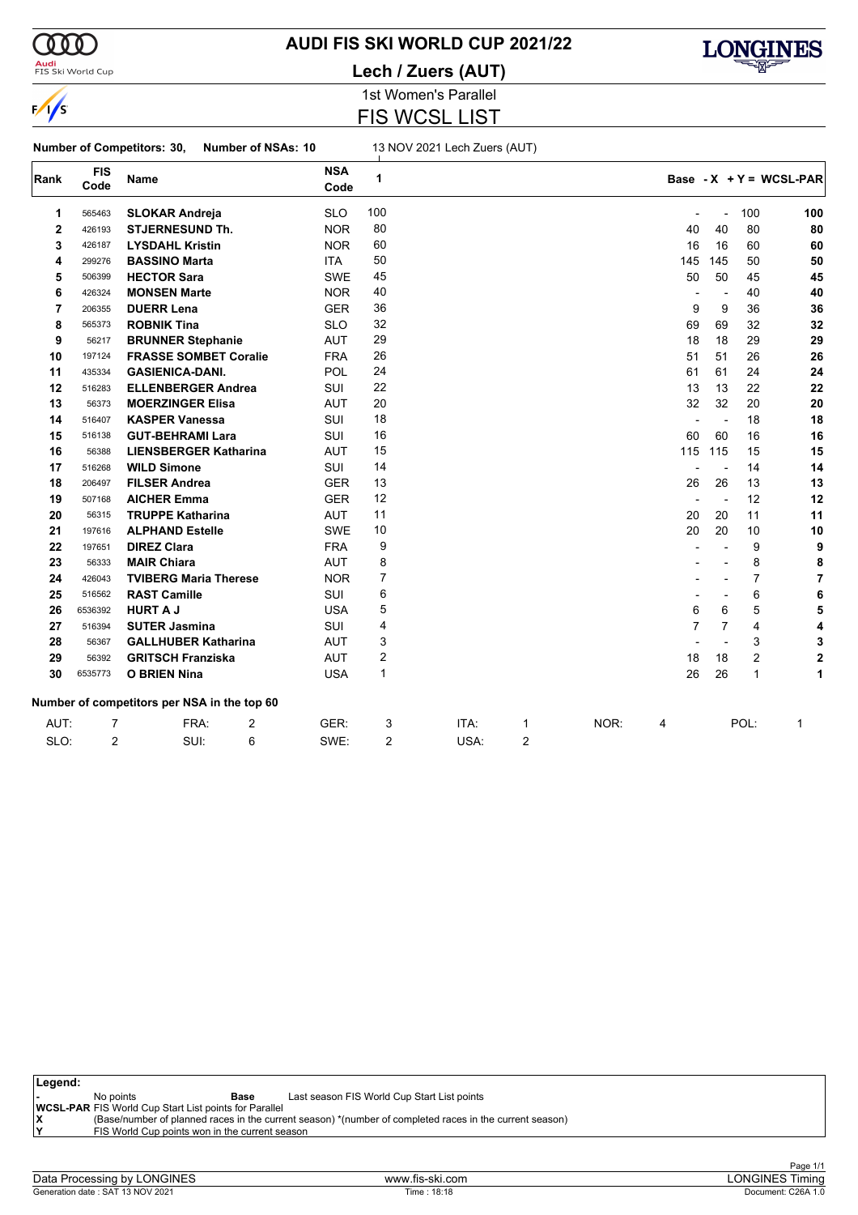

# **AUDI FIS SKI WORLD CUP 2021/22**

**Lech / Zuers (AUT)**



1st Women's Parallel FIS WCSL LIST

**Number of Competitors: 30, Number of NSAs: 10** 13 NOV 2021 Lech Zuers (AUT)

| Rank           | <b>FIS</b><br>Code | Name                                        |   | <b>NSA</b><br>Code | 1              |      |                |      |                          |                          |                | Base - $X + Y = WCSL-PAR$ |
|----------------|--------------------|---------------------------------------------|---|--------------------|----------------|------|----------------|------|--------------------------|--------------------------|----------------|---------------------------|
| 1              | 565463             | <b>SLOKAR Andreja</b>                       |   | <b>SLO</b>         | 100            |      |                |      |                          |                          | 100            | 100                       |
| $\mathbf 2$    | 426193             | <b>STJERNESUND Th.</b>                      |   | <b>NOR</b>         | 80             |      |                |      | 40                       | 40                       | 80             | 80                        |
| 3              | 426187             | <b>LYSDAHL Kristin</b>                      |   | <b>NOR</b>         | 60             |      |                |      | 16                       | 16                       | 60             | 60                        |
| 4              | 299276             | <b>BASSINO Marta</b>                        |   | <b>ITA</b>         | 50             |      |                |      | 145                      | 145                      | 50             | 50                        |
| 5              | 506399             | <b>HECTOR Sara</b>                          |   | <b>SWE</b>         | 45             |      |                |      | 50                       | 50                       | 45             | 45                        |
| 6              | 426324             | <b>MONSEN Marte</b>                         |   | <b>NOR</b>         | 40             |      |                |      | ٠                        | $\overline{\phantom{a}}$ | 40             | 40                        |
| $\overline{7}$ | 206355             | <b>DUERR Lena</b>                           |   | <b>GER</b>         | 36             |      |                |      | 9                        | 9                        | 36             | 36                        |
| 8              | 565373             | <b>ROBNIK Tina</b>                          |   | <b>SLO</b>         | 32             |      |                |      | 69                       | 69                       | 32             | 32                        |
| 9              | 56217              | <b>BRUNNER Stephanie</b>                    |   | <b>AUT</b>         | 29             |      |                |      | 18                       | 18                       | 29             | 29                        |
| 10             | 197124             | <b>FRASSE SOMBET Coralie</b>                |   | <b>FRA</b>         | 26             |      |                |      | 51                       | 51                       | 26             | 26                        |
| 11             | 435334             | <b>GASIENICA-DANI.</b>                      |   | <b>POL</b>         | 24             |      |                |      | 61                       | 61                       | 24             | 24                        |
| 12             | 516283             | <b>ELLENBERGER Andrea</b>                   |   | SUI                | 22             |      |                |      | 13                       | 13                       | 22             | 22                        |
| 13             | 56373              | <b>MOERZINGER Elisa</b>                     |   | <b>AUT</b>         | 20             |      |                |      | 32                       | 32                       | 20             | 20                        |
| 14             | 516407             | <b>KASPER Vanessa</b>                       |   | SUI                | 18             |      |                |      | ÷,                       | $\blacksquare$           | 18             | 18                        |
| 15             | 516138             | <b>GUT-BEHRAMI Lara</b>                     |   | SUI                | 16             |      |                |      | 60                       | 60                       | 16             | 16                        |
| 16             | 56388              | <b>LIENSBERGER Katharina</b>                |   | <b>AUT</b>         | 15             |      |                |      | 115                      | 115                      | 15             | 15                        |
| 17             | 516268             | <b>WILD Simone</b>                          |   | SUI                | 14             |      |                |      | $\blacksquare$           | $\overline{\phantom{a}}$ | 14             | 14                        |
| 18             | 206497             | <b>FILSER Andrea</b>                        |   | <b>GER</b>         | 13             |      |                |      | 26                       | 26                       | 13             | 13                        |
| 19             | 507168             | <b>AICHER Emma</b>                          |   | <b>GER</b>         | 12             |      |                |      | $\overline{\phantom{a}}$ | $\overline{\phantom{a}}$ | 12             | 12                        |
| 20             | 56315              | <b>TRUPPE Katharina</b>                     |   | <b>AUT</b>         | 11             |      |                |      | 20                       | 20                       | 11             | 11                        |
| 21             | 197616             | <b>ALPHAND Estelle</b>                      |   | SWE                | 10             |      |                |      | 20                       | 20                       | 10             | 10                        |
| 22             | 197651             | <b>DIREZ Clara</b>                          |   | <b>FRA</b>         | 9              |      |                |      |                          |                          | 9              | 9                         |
| 23             | 56333              | <b>MAIR Chiara</b>                          |   | AUT                | 8              |      |                |      |                          |                          | 8              | 8                         |
| 24             | 426043             | <b>TVIBERG Maria Therese</b>                |   | <b>NOR</b>         | $\overline{7}$ |      |                |      |                          |                          | $\overline{7}$ | 7                         |
| 25             | 516562             | <b>RAST Camille</b>                         |   | SUI                | 6              |      |                |      |                          |                          | 6              | 6                         |
| 26             | 6536392            | <b>HURT A J</b>                             |   | <b>USA</b>         | 5              |      |                |      | 6                        | 6                        | 5              | 5                         |
| 27             | 516394             | <b>SUTER Jasmina</b>                        |   | SUI                | 4              |      |                |      | 7                        | $\overline{7}$           | 4              | 4                         |
| 28             | 56367              | <b>GALLHUBER Katharina</b>                  |   | <b>AUT</b>         | 3              |      |                |      |                          |                          | 3              | 3                         |
| 29             | 56392              | <b>GRITSCH Franziska</b>                    |   | <b>AUT</b>         | 2              |      |                |      | 18                       | 18                       | 2              | $\mathbf{2}$              |
| 30             | 6535773            | <b>O BRIEN Nina</b>                         |   | <b>USA</b>         | $\mathbf{1}$   |      |                |      | 26                       | 26                       | $\mathbf{1}$   | 1                         |
|                |                    | Number of competitors per NSA in the top 60 |   |                    |                |      |                |      |                          |                          |                |                           |
| AUT:           | 7                  | FRA:                                        | 2 | GER:               | 3              | ITA: | 1              | NOR: | 4                        |                          | POL:           | 1                         |
| SLO:           | $\overline{2}$     | SUI:                                        | 6 | SWE:               | $\overline{2}$ | USA: | $\overline{2}$ |      |                          |                          |                |                           |

| Legend:                                                      |                                                |      |                                                                                                         |  |  |  |  |  |  |  |
|--------------------------------------------------------------|------------------------------------------------|------|---------------------------------------------------------------------------------------------------------|--|--|--|--|--|--|--|
|                                                              | No points                                      | Base | Last season FIS World Cup Start List points                                                             |  |  |  |  |  |  |  |
| <b>WCSL-PAR FIS World Cup Start List points for Parallel</b> |                                                |      |                                                                                                         |  |  |  |  |  |  |  |
| ΙX                                                           |                                                |      | (Base/number of planned races in the current season) *(number of completed races in the current season) |  |  |  |  |  |  |  |
| lv                                                           | FIS World Cup points won in the current season |      |                                                                                                         |  |  |  |  |  |  |  |
|                                                              |                                                |      |                                                                                                         |  |  |  |  |  |  |  |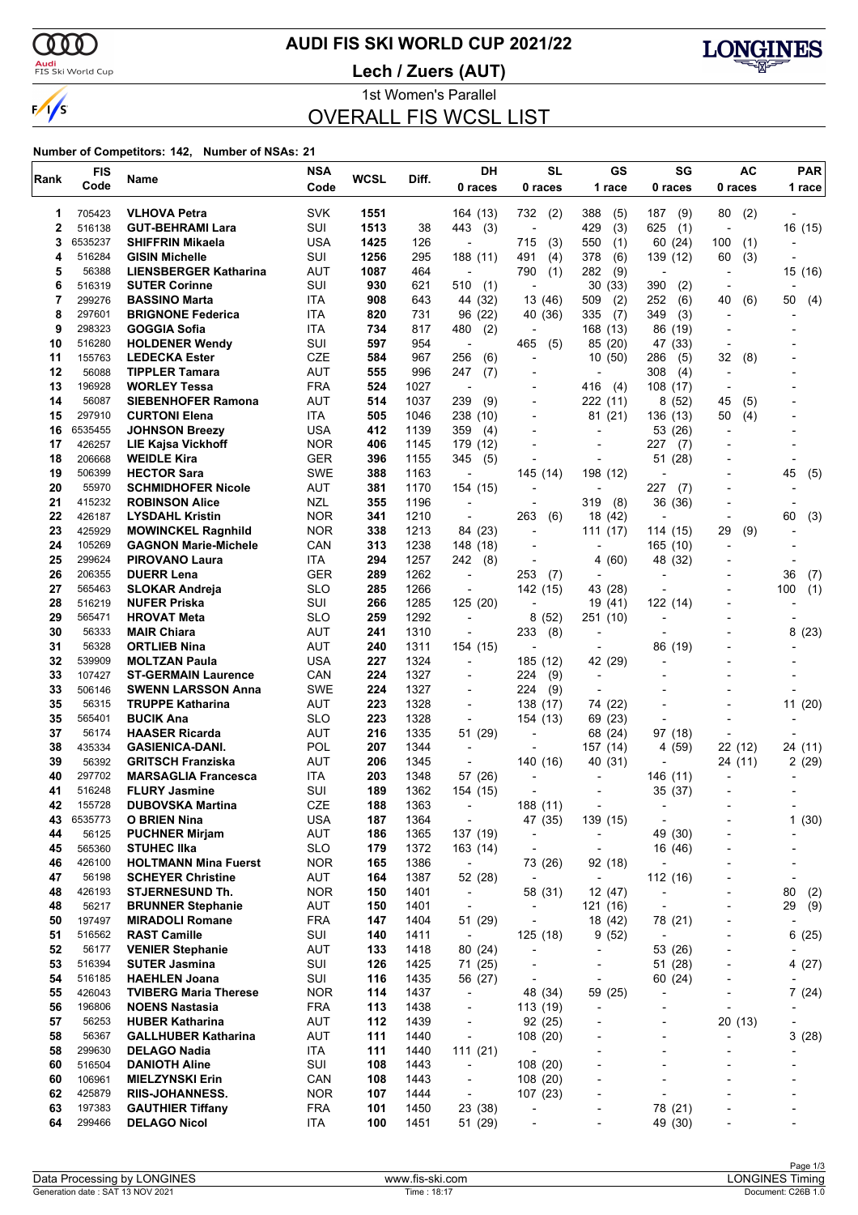$\alpha\alpha$ 

 $\sqrt{s}$ 

# **AUDI FIS SKI WORLD CUP 2021/22**

<mark>Audi</mark><br>FIS Ski World Cup

**Lech / Zuers (AUT)**



1st Women's Parallel OVERALL FIS WCSL LIST

### **Number of Competitors: 142, Number of NSAs: 21**

| Rank   | <b>FIS</b><br>Code | Name                         | <b>NSA</b><br>Code | <b>WCSL</b>  | Diff.      | DH<br>0 races            | <b>SL</b><br>0 races         | GS<br>1 race                 | SG<br>0 races            | AC<br>0 races               | <b>PAR</b><br>1 race     |
|--------|--------------------|------------------------------|--------------------|--------------|------------|--------------------------|------------------------------|------------------------------|--------------------------|-----------------------------|--------------------------|
|        |                    |                              |                    |              |            |                          |                              |                              |                          |                             |                          |
| 1      | 705423<br>516138   | <b>VLHOVA Petra</b>          | <b>SVK</b><br>SUI  | 1551<br>1513 |            | 164 (13)                 | (2)<br>732                   | 388<br>(5)<br>429            | 187<br>(9)<br>625        | 80<br>(2)                   |                          |
| 2<br>3 |                    | <b>GUT-BEHRAMI Lara</b>      |                    |              | 38         | 443<br>(3)               | $\overline{\phantom{a}}$     | (3)                          | (1)                      | $\overline{\phantom{a}}$    | 16 (15)                  |
|        | 6535237<br>516284  | <b>SHIFFRIN Mikaela</b>      | USA<br>SUI         | 1425<br>1256 | 126        | 188 (11)                 | 715<br>(3)                   | 550<br>(1)                   | 60 (24)                  | (1)<br>100                  |                          |
| 4<br>5 | 56388              | <b>GISIN Michelle</b>        | AUT                |              | 295<br>464 |                          | 491<br>(4)<br>790            | 378<br>(6)                   | 139 (12)                 | 60<br>(3)<br>$\blacksquare$ |                          |
|        |                    | <b>LIENSBERGER Katharina</b> |                    | 1087         |            | $\overline{\phantom{a}}$ | (1)                          | (9)<br>282                   | $\overline{\phantom{a}}$ |                             | 15 (16)                  |
| 6      | 516319             | <b>SUTER Corinne</b>         | SUI                | 930          | 621        | 510<br>(1)               | $\overline{\phantom{a}}$     | 30(33)                       | 390<br>(2)               |                             |                          |
| 7<br>8 | 299276<br>297601   | <b>BASSINO Marta</b>         | ITA                | 908          | 643        | 44 (32)                  | 13 (46)                      | 509<br>(2)                   | 252<br>(6)               | 40<br>(6)                   | 50<br>(4)                |
|        |                    | <b>BRIGNONE Federica</b>     | ITA                | 820          | 731        | 96 (22)                  | 40 (36)                      | 335<br>(7)                   | 349<br>(3)               |                             |                          |
| 9      | 298323             | GOGGIA Sofia                 | <b>ITA</b>         | 734          | 817        | 480<br>(2)               |                              | 168 (13)                     | 86 (19)                  |                             |                          |
| 10     | 516280             | <b>HOLDENER Wendy</b>        | SUI                | 597          | 954        | $\overline{\phantom{a}}$ | 465<br>(5)                   | 85 (20)                      | 47 (33)                  |                             |                          |
| 11     | 155763             | <b>LEDECKA Ester</b>         | CZE                | 584          | 967        | 256<br>(6)               | $\centerdot$                 | 10(50)                       | 286<br>(5)               | 32<br>(8)                   |                          |
| 12     | 56088              | <b>TIPPLER Tamara</b>        | AUT                | 555          | 996        | (7)<br>247               | $\overline{a}$               | $\overline{a}$               | 308<br>(4)               | $\overline{\phantom{a}}$    |                          |
| 13     | 196928             | <b>WORLEY Tessa</b>          | <b>FRA</b>         | 524          | 1027       | $\overline{\phantom{a}}$ |                              | 416<br>(4)                   | 108 (17)                 |                             |                          |
| 14     | 56087              | <b>SIEBENHOFER Ramona</b>    | AUT                | 514          | 1037       | 239<br>(9)               | $\overline{\phantom{a}}$     | 222 (11)                     | 8(52)                    | 45<br>(5)                   |                          |
| 15     | 297910             | <b>CURTONI Elena</b>         | ITA                | 505          | 1046       | 238 (10)                 | -                            | 81 (21)                      | 136 (13)                 | 50<br>(4)                   |                          |
| 16     | 6535455            | <b>JOHNSON Breezy</b>        | <b>USA</b>         | 412          | 1139       | 359<br>(4)               |                              | $\blacksquare$               | 53 (26)                  |                             |                          |
| 17     | 426257             | <b>LIE Kajsa Vickhoff</b>    | <b>NOR</b>         | 406          | 1145       | 179 (12)                 | $\overline{a}$               | $\overline{\phantom{a}}$     | 227<br>(7)               |                             |                          |
| 18     | 206668             | <b>WEIDLE Kira</b>           | <b>GER</b>         | 396          | 1155       | 345<br>(5)               | -                            | $\overline{\phantom{a}}$     | 51 (28)                  |                             | $\blacksquare$           |
| 19     | 506399             | <b>HECTOR Sara</b>           | <b>SWE</b>         | 388          | 1163       |                          | 145 (14)                     | 198 (12)                     | $\overline{\phantom{0}}$ |                             | 45<br>(5)                |
| 20     | 55970              | <b>SCHMIDHOFER Nicole</b>    | AUT                | 381          | 1170       | 154 (15)                 | $\overline{a}$               |                              | 227<br>(7)               |                             |                          |
| 21     | 415232             | <b>ROBINSON Alice</b>        | <b>NZL</b>         | 355          | 1196       |                          | $\overline{a}$               | 319<br>(8)                   | 36 (36)                  |                             |                          |
| 22     | 426187             | <b>LYSDAHL Kristin</b>       | <b>NOR</b>         | 341          | 1210       |                          | 263<br>(6)                   | 18 (42)                      | $\overline{\phantom{a}}$ |                             | 60<br>(3)                |
| 23     | 425929             | <b>MOWINCKEL Ragnhild</b>    | <b>NOR</b>         | 338          | 1213       | 84 (23)                  | $\overline{a}$               | 111<br>(17)                  | 114 (15)                 | (9)<br>29                   |                          |
| 24     | 105269             | <b>GAGNON Marie-Michele</b>  | CAN                | 313          | 1238       | 148 (18)                 | $\overline{a}$               | $\overline{\phantom{a}}$     | 165 (10)                 | $\overline{\phantom{a}}$    |                          |
| 25     | 299624             | <b>PIROVANO Laura</b>        | ITA                | 294          | 1257       | 242 (8)                  | $\overline{a}$               | 4 (60)                       | 48 (32)                  |                             |                          |
| 26     | 206355             | <b>DUERR Lena</b>            | <b>GER</b>         | 289          | 1262       | $\overline{\phantom{a}}$ | 253<br>(7)                   |                              | $\overline{\phantom{a}}$ |                             | 36<br>(7)                |
| 27     | 565463             | <b>SLOKAR Andreja</b>        | <b>SLO</b>         | 285          | 1266       |                          | 142 (15)                     | 43 (28)                      |                          |                             | 100<br>(1)               |
| 28     | 516219             | <b>NUFER Priska</b>          | SUI                | 266          | 1285       | 125 (20)                 |                              | 19 (41)                      | 122 (14)                 |                             |                          |
| 29     | 565471             | <b>HROVAT Meta</b>           | <b>SLO</b>         | 259          | 1292       | $\overline{\phantom{a}}$ | 8<br>(52)                    | 251 (10)                     |                          |                             |                          |
| 30     | 56333              | <b>MAIR Chiara</b>           | AUT                | 241          | 1310       |                          | 233<br>(8)                   |                              |                          |                             | 8(23)                    |
| 31     | 56328              | <b>ORTLIEB Nina</b>          | <b>AUT</b>         | 240          | 1311       | 154 (15)                 | $\overline{a}$               |                              | 86 (19)                  |                             |                          |
| 32     | 539909             | <b>MOLTZAN Paula</b>         | USA                | 227          | 1324       | $\overline{\phantom{a}}$ | 185 (12)                     | 42 (29)                      |                          |                             |                          |
| 33     | 107427             | <b>ST-GERMAIN Laurence</b>   | CAN                | 224          | 1327       | $\overline{a}$           | 224<br>(9)                   |                              |                          |                             |                          |
| 33     | 506146             | <b>SWENN LARSSON Anna</b>    | <b>SWE</b>         | 224          | 1327       |                          | 224<br>(9)                   |                              |                          |                             |                          |
| 35     | 56315              | <b>TRUPPE Katharina</b>      | AUT                | 223          | 1328       | ÷,                       | 138 (17)                     | 74 (22)                      |                          |                             | 11 (20)                  |
| 35     | 565401             | <b>BUCIK Ana</b>             | <b>SLO</b>         | 223          | 1328       | $\overline{\phantom{a}}$ | 154 (13)                     | 69 (23)                      |                          |                             |                          |
| 37     | 56174              | <b>HAASER Ricarda</b>        | <b>AUT</b>         | 216          | 1335       | 51 (29)                  | $\overline{a}$               | 68 (24)                      | 97 (18)                  |                             |                          |
| 38     | 435334             | <b>GASIENICA-DANI.</b>       | <b>POL</b>         | 207          | 1344       |                          | ٠                            | 157 (14)                     | 4 (59)                   | 22 (12)                     | 24 (11)                  |
| 39     | 56392              | <b>GRITSCH Franziska</b>     | AUT                | 206          | 1345       | $\overline{a}$           | 140 (16)                     | 40 (31)                      |                          | 24 (11)                     | 2(29)                    |
| 40     | 297702             | <b>MARSAGLIA Francesca</b>   | ITA                | 203          | 1348       | 57 (26)                  |                              |                              | 146 (11)                 |                             |                          |
| 41     | 516248             | <b>FLURY Jasmine</b>         | SUI                | 189          | 1362       | 154 (15)                 | ٠                            |                              | 35 (37)                  |                             |                          |
| 42     | 155728             | <b>DUBOVSKA Martina</b>      | <b>CZE</b>         | 188          | 1363       |                          | 188 (11)                     | $\overline{\phantom{a}}$     | $\overline{\phantom{a}}$ |                             |                          |
| 43     | 6535773            | <b>O BRIEN Nina</b>          | <b>USA</b>         | 187          | 1364       | $\overline{\phantom{a}}$ | 47 (35)                      | 139 (15)                     | $\overline{\phantom{a}}$ |                             | 1(30)                    |
| 44     | 56125              | <b>PUCHNER Mirjam</b>        | AUT                | 186          | 1365       | 137 (19)                 | $\overline{\phantom{a}}$     | $\qquad \qquad \blacksquare$ | 49 (30)                  |                             |                          |
| 45     | 565360             | <b>STUHEC IIka</b>           | <b>SLO</b>         | 179          | 1372       | 163 (14)                 | $\qquad \qquad \blacksquare$ | $\overline{\phantom{a}}$     | 16 (46)                  | -                           |                          |
| 46     | 426100             | <b>HOLTMANN Mina Fuerst</b>  | <b>NOR</b>         | 165          | 1386       | $\overline{\phantom{a}}$ | 73 (26)                      | 92 (18)                      | $\overline{a}$           |                             |                          |
| 47     | 56198              | <b>SCHEYER Christine</b>     | AUT                | 164          | 1387       | 52 (28)                  | $\overline{\phantom{a}}$     | $\overline{\phantom{a}}$     | 112 (16)                 | $\overline{a}$              | -                        |
| 48     | 426193             | <b>STJERNESUND Th.</b>       | <b>NOR</b>         | 150          | 1401       | $\overline{\phantom{a}}$ | 58 (31)                      | 12 (47)                      |                          | -                           | (2)<br>80                |
| 48     | 56217              | <b>BRUNNER Stephanie</b>     | <b>AUT</b>         | 150          | 1401       | $\overline{\phantom{a}}$ | $\overline{\phantom{a}}$     | 121 (16)                     | $\overline{\phantom{a}}$ |                             | 29<br>(9)                |
| 50     | 197497             | <b>MIRADOLI Romane</b>       | <b>FRA</b>         | 147          | 1404       | 51 (29)                  | $\overline{\phantom{0}}$     | 18 (42)                      | 78 (21)                  | -                           |                          |
| 51     | 516562             | <b>RAST Camille</b>          | SUI                | 140          | 1411       | $\overline{\phantom{a}}$ | 125 (18)                     | 9(52)                        | $\overline{\phantom{a}}$ | $\overline{\phantom{a}}$    | 6<br>(25)                |
| 52     | 56177              | <b>VENIER Stephanie</b>      | <b>AUT</b>         | 133          | 1418       | 80 (24)                  | $\overline{a}$               | $\overline{a}$               | 53 (26)                  | $\overline{a}$              |                          |
| 53     | 516394             | <b>SUTER Jasmina</b>         | SUI                | 126          | 1425       | 71 (25)                  | $\overline{\phantom{0}}$     | $\overline{a}$               | 51 (28)                  | ٠                           | 4(27)                    |
| 54     | 516185             | <b>HAEHLEN Joana</b>         | SUI                | 116          | 1435       | 56 (27)                  | $\overline{\phantom{0}}$     | $\overline{a}$               | 60 (24)                  | -                           |                          |
| 55     | 426043             | <b>TVIBERG Maria Therese</b> | <b>NOR</b>         | 114          | 1437       | $\overline{\phantom{a}}$ | 48 (34)                      | 59 (25)                      | $\overline{a}$           |                             | 7(24)                    |
| 56     | 196806             | <b>NOENS Nastasia</b>        | <b>FRA</b>         | 113          | 1438       | $\overline{\phantom{a}}$ | 113 (19)                     | $\overline{a}$               | $\overline{a}$           | $\overline{a}$              |                          |
| 57     | 56253              | <b>HUBER Katharina</b>       | AUT                | 112          | 1439       | $\overline{a}$           | 92 (25)                      | $\overline{a}$               | -                        | 20(13)                      | $\overline{\phantom{a}}$ |
| 58     | 56367              | <b>GALLHUBER Katharina</b>   | <b>AUT</b>         | 111          | 1440       | $\overline{\phantom{a}}$ | 108 (20)                     |                              | -                        |                             | 3(28)                    |
| 58     | 299630             | <b>DELAGO Nadia</b>          | ITA                | 111          | 1440       | 111(21)                  | ٠                            | ٠                            | -                        |                             |                          |
| 60     | 516504             | <b>DANIOTH Aline</b>         | SUI                | 108          | 1443       | $\overline{a}$           | 108 (20)                     | $\overline{\phantom{a}}$     | -                        |                             |                          |
| 60     | 106961             | <b>MIELZYNSKI Erin</b>       | CAN                | 108          | 1443       | $\overline{\phantom{a}}$ | 108 (20)                     | $\overline{\phantom{a}}$     | $\overline{\phantom{a}}$ |                             |                          |
| 62     | 425879             | <b>RIIS-JOHANNESS.</b>       | <b>NOR</b>         | 107          | 1444       | $\overline{\phantom{a}}$ | 107 (23)                     | $\overline{a}$               |                          |                             |                          |
| 63     | 197383             | <b>GAUTHIER Tiffany</b>      | <b>FRA</b>         | 101          | 1450       | 23 (38)                  | $\qquad \qquad \blacksquare$ | $\overline{a}$               | 78 (21)                  |                             |                          |
| 64     | 299466             | <b>DELAGO Nicol</b>          | ITA                | 100          | 1451       | 51 (29)                  |                              |                              | 49 (30)                  |                             |                          |
|        |                    |                              |                    |              |            |                          |                              |                              |                          |                             |                          |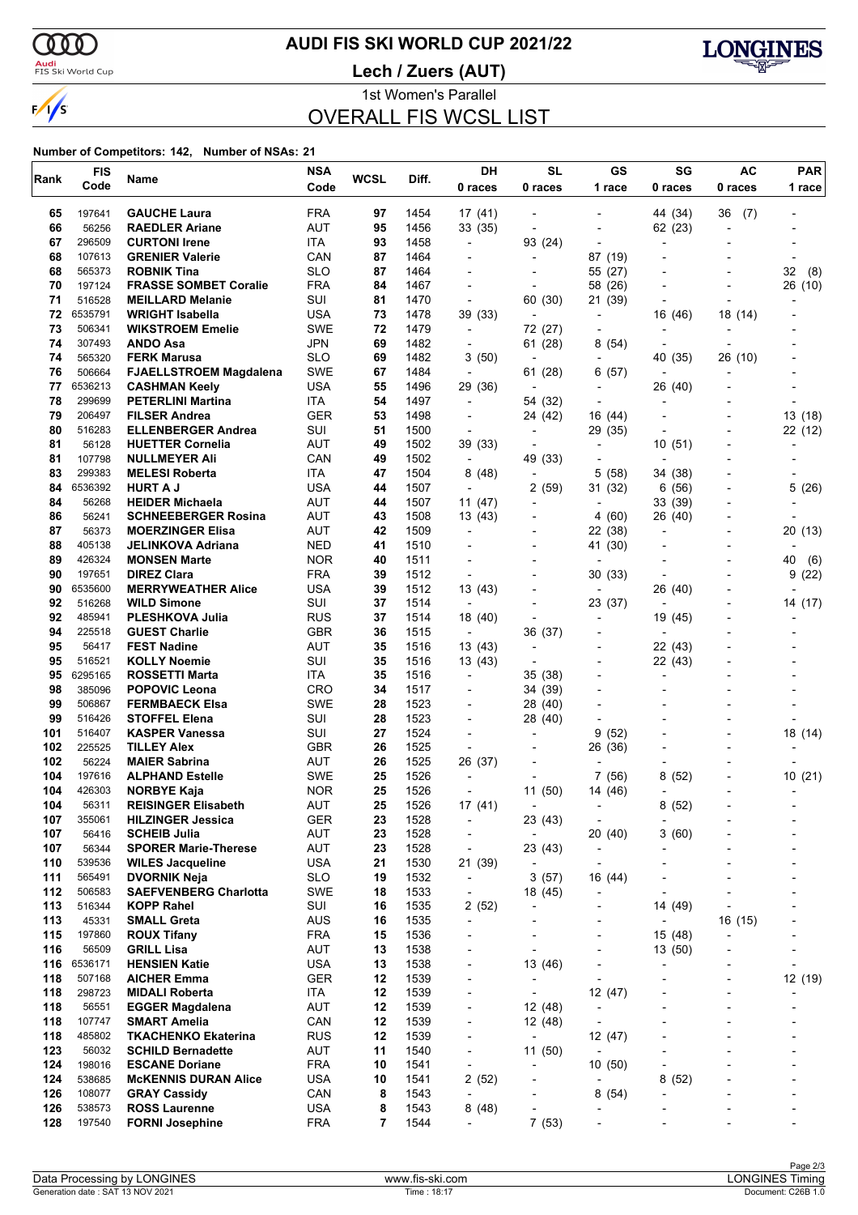$\alpha\alpha$ 

 $\sqrt{s}$ 

# **AUDI FIS SKI WORLD CUP 2021/22**

<mark>Audi</mark><br>FIS Ski World Cup

**Lech / Zuers (AUT)**



1st Women's Parallel OVERALL FIS WCSL LIST

#### **Number of Competitors: 142, Number of NSAs: 21**

| Rank       | <b>FIS</b>       | Name                                                 | <b>NSA</b>               | WCSL     | Diff.        | DH                                  | <b>SL</b>                 | GS                            | SG                       | AC                       | <b>PAR</b>               |
|------------|------------------|------------------------------------------------------|--------------------------|----------|--------------|-------------------------------------|---------------------------|-------------------------------|--------------------------|--------------------------|--------------------------|
|            | Code             |                                                      | Code                     |          |              | 0 races                             | 0 races                   | 1 race                        | 0 races                  | 0 races                  | 1 race                   |
| 65         | 197641           | <b>GAUCHE Laura</b>                                  | <b>FRA</b>               | 97       | 1454         | 17 (41)                             |                           |                               | 44 (34)                  | 36<br>(7)                |                          |
| 66         | 56256            | <b>RAEDLER Ariane</b>                                | <b>AUT</b>               | 95       | 1456         | 33 (35)                             | $\overline{\phantom{a}}$  | $\overline{\phantom{0}}$      | 62 (23)                  | $\overline{\phantom{a}}$ |                          |
| 67         | 296509           | <b>CURTONI Irene</b>                                 | ITA                      | 93       | 1458         | $\overline{\phantom{a}}$            | 93 (24)                   | $\overline{a}$                |                          |                          |                          |
| 68         | 107613           | <b>GRENIER Valerie</b>                               | CAN                      | 87       | 1464         |                                     | ÷,                        | 87 (19)                       |                          |                          |                          |
| 68         | 565373           | <b>ROBNIK Tina</b>                                   | <b>SLO</b>               | 87       | 1464         | $\blacksquare$                      | $\blacksquare$            | 55 (27)                       | $\overline{\phantom{a}}$ |                          | 32<br>(8)                |
| 70         | 197124           | <b>FRASSE SOMBET Coralie</b>                         | <b>FRA</b>               | 84       | 1467         | $\blacksquare$                      |                           | 58 (26)                       |                          |                          | 26 (10)                  |
| 71         | 516528           | <b>MEILLARD Melanie</b>                              | SUI                      | 81       | 1470         | $\overline{\phantom{a}}$            | 60 (30)                   | 21 (39)                       |                          |                          |                          |
| 72         | 6535791          | <b>WRIGHT Isabella</b>                               | <b>USA</b>               | 73       | 1478         | 39 (33)                             | $\overline{\phantom{a}}$  | $\overline{\phantom{a}}$      | 16 (46)                  | 18 (14)                  |                          |
| 73         | 506341           | <b>WIKSTROEM Emelie</b>                              | <b>SWE</b>               | 72       | 1479         | $\overline{\phantom{a}}$            | 72 (27)                   | $\overline{a}$                |                          |                          |                          |
| 74         | 307493           | <b>ANDO Asa</b>                                      | <b>JPN</b>               | 69       | 1482         |                                     | 61 (28)                   | 8(54)                         |                          |                          |                          |
| 74         | 565320           | <b>FERK Marusa</b>                                   | <b>SLO</b>               | 69       | 1482         | 3 (50)                              | $\overline{\phantom{a}}$  | $\overline{\phantom{a}}$      | 40 (35)                  | 26 (10)                  |                          |
| 76         | 506664           | <b>FJAELLSTROEM Magdalena</b>                        | <b>SWE</b>               | 67       | 1484         | $\overline{\phantom{a}}$            | 61(28)                    | 6(57)                         |                          |                          |                          |
| 77         | 6536213          | <b>CASHMAN Keely</b>                                 | <b>USA</b>               | 55       | 1496         | 29 (36)                             | $\blacksquare$            |                               | 26 (40)                  |                          |                          |
| 78         | 299699           | <b>PETERLINI Martina</b>                             | ITA                      | 54       | 1497         | $\overline{\phantom{a}}$            | 54 (32)                   | $\blacksquare$                |                          |                          |                          |
| 79         | 206497           | <b>FILSER Andrea</b>                                 | <b>GER</b>               | 53       | 1498         | $\overline{a}$                      | 24 (42)                   | 16 (44)                       |                          |                          | 13 (18)                  |
| 80         | 516283           | <b>ELLENBERGER Andrea</b>                            | SUI                      | 51       | 1500         | $\overline{a}$                      | $\overline{a}$            | 29 (35)                       |                          |                          | 22 (12)                  |
| 81         | 56128            | <b>HUETTER Cornelia</b>                              | AUT                      | 49       | 1502         | 39 (33)                             | $\blacksquare$            | $\overline{\phantom{a}}$      | 10(51)                   |                          | $\overline{a}$           |
| 81         | 107798           | <b>NULLMEYER Ali</b>                                 | CAN                      | 49       | 1502         | $\overline{\phantom{a}}$            | 49 (33)                   | ٠                             | Ĭ.                       |                          |                          |
| 83<br>84   | 299383           | <b>MELESI Roberta</b>                                | ITA                      | 47       | 1504         | 8(48)                               | $\overline{a}$            | 5(58)                         | 34 (38)                  |                          |                          |
| 84         | 6536392<br>56268 | <b>HURT A J</b>                                      | <b>USA</b><br><b>AUT</b> | 44       | 1507<br>1507 | $\overline{\phantom{a}}$            | 2(59)                     | 31 (32)                       | 6(56)                    |                          | 5(26)                    |
| 86         | 56241            | <b>HEIDER Michaela</b><br><b>SCHNEEBERGER Rosina</b> | AUT                      | 44<br>43 | 1508         | 11(47)                              | ٠                         |                               | 33 (39)<br>26 (40)       |                          |                          |
| 87         | 56373            | <b>MOERZINGER Elisa</b>                              | <b>AUT</b>               | 42       | 1509         | 13 (43)<br>$\overline{\phantom{a}}$ | $\blacksquare$            | (60)<br>4<br>22 (38)          | $\overline{\phantom{a}}$ |                          | 20 (13)                  |
| 88         | 405138           | JELINKOVA Adriana                                    | <b>NED</b>               | 41       | 1510         |                                     |                           | 41 (30)                       |                          |                          |                          |
| 89         | 426324           | <b>MONSEN Marte</b>                                  | <b>NOR</b>               | 40       | 1511         |                                     |                           |                               |                          |                          | 40<br>(6)                |
| 90         | 197651           | <b>DIREZ Clara</b>                                   | <b>FRA</b>               | 39       | 1512         | $\overline{\phantom{a}}$            | $\blacksquare$            | 30 (33)                       | $\blacksquare$           |                          | 9<br>(22)                |
| 90         | 6535600          | <b>MERRYWEATHER Alice</b>                            | <b>USA</b>               | 39       | 1512         | 13 (43)                             |                           |                               | 26 (40)                  |                          |                          |
| 92         | 516268           | <b>WILD Simone</b>                                   | SUI                      | 37       | 1514         | $\overline{a}$                      |                           | 23 (37)                       | $\overline{a}$           |                          | 14 (17)                  |
| 92         | 485941           | <b>PLESHKOVA Julia</b>                               | <b>RUS</b>               | 37       | 1514         | 18 (40)                             | $\overline{\phantom{a}}$  | $\overline{\phantom{a}}$      | 19 (45)                  | $\overline{\phantom{a}}$ |                          |
| 94         | 225518           | <b>GUEST Charlie</b>                                 | <b>GBR</b>               | 36       | 1515         | $\overline{\phantom{a}}$            | 36 (37)                   |                               | $\overline{\phantom{a}}$ |                          |                          |
| 95         | 56417            | <b>FEST Nadine</b>                                   | AUT                      | 35       | 1516         | 13 (43)                             | $\overline{a}$            |                               | 22 (43)                  |                          |                          |
| 95         | 516521           | <b>KOLLY Noemie</b>                                  | SUI                      | 35       | 1516         | 13 (43)                             | $\overline{\phantom{a}}$  | $\overline{\phantom{0}}$      | 22 (43)                  |                          |                          |
| 95         | 6295165          | ROSSETTI Marta                                       | ITA                      | 35       | 1516         | $\blacksquare$                      | 35 (38)                   |                               | Ĭ.                       |                          |                          |
| 98         | 385096           | <b>POPOVIC Leona</b>                                 | <b>CRO</b>               | 34       | 1517         |                                     | 34 (39)                   |                               |                          |                          |                          |
| 99         | 506867           | <b>FERMBAECK Elsa</b>                                | <b>SWE</b>               | 28       | 1523         | $\overline{\phantom{a}}$            | 28 (40)                   |                               | $\overline{\phantom{a}}$ |                          |                          |
| 99         | 516426           | <b>STOFFEL Elena</b>                                 | SUI                      | 28       | 1523         |                                     | 28 (40)                   |                               |                          |                          |                          |
| 101        | 516407           | <b>KASPER Vanessa</b>                                | SUI                      | 27       | 1524         |                                     | $\overline{a}$            | (52)<br>9                     |                          |                          | 18 (14)                  |
| 102        | 225525           | <b>TILLEY Alex</b>                                   | <b>GBR</b>               | 26       | 1525         | $\overline{\phantom{a}}$            | $\blacksquare$            | 26 (36)                       | ÷                        |                          |                          |
| 102        | 56224            | <b>MAIER Sabrina</b>                                 | <b>AUT</b>               | 26       | 1525         | 26 (37)                             |                           |                               |                          |                          |                          |
| 104        | 197616           | <b>ALPHAND Estelle</b>                               | <b>SWE</b>               | 25       | 1526         | ÷,                                  | $\blacksquare$            | 7<br>(56)                     | 8(52)                    |                          | 10(21)                   |
| 104<br>104 | 426303<br>56311  | <b>NORBYE Kaja</b><br><b>REISINGER Elisabeth</b>     | <b>NOR</b><br>AUT        | 25<br>25 | 1526<br>1526 | $\overline{\phantom{a}}$<br>17(41)  | 11 (50)<br>$\blacksquare$ | 14 (46)                       | ٠<br>8(52)               |                          | $\overline{\phantom{a}}$ |
| 107        | 355061           | <b>HILZINGER Jessica</b>                             | GER                      | 23       | 1528         | -                                   | 23 (43)                   | $\overline{\phantom{a}}$<br>- | ÷,                       |                          |                          |
| 107        | 56416            | <b>SCHEIB Julia</b>                                  | AUT                      | 23       | 1528         | $\overline{\phantom{a}}$            | $\overline{\phantom{a}}$  | 20 (40)                       | 3(60)                    |                          |                          |
| 107        | 56344            | <b>SPORER Marie-Therese</b>                          | AUT                      | 23       | 1528         | $\overline{\phantom{a}}$            | 23 (43)                   | $\overline{\phantom{a}}$      |                          |                          |                          |
| 110        | 539536           | <b>WILES Jacqueline</b>                              | <b>USA</b>               | 21       | 1530         | 21 (39)                             | $\overline{\phantom{a}}$  | $\overline{\phantom{a}}$      |                          |                          |                          |
| 111        | 565491           | <b>DVORNIK Neja</b>                                  | <b>SLO</b>               | 19       | 1532         | $\overline{\phantom{a}}$            | 3(57)                     | 16 (44)                       | ٠                        |                          | $\overline{a}$           |
| 112        | 506583           | <b>SAEFVENBERG Charlotta</b>                         | <b>SWE</b>               | 18       | 1533         | $\overline{\phantom{a}}$            | 18 (45)                   |                               |                          |                          |                          |
| 113        | 516344           | <b>KOPP Rahel</b>                                    | SUI                      | 16       | 1535         | 2(52)                               |                           |                               | 14 (49)                  |                          |                          |
| 113        | 45331            | <b>SMALL Greta</b>                                   | <b>AUS</b>               | 16       | 1535         | $\overline{\phantom{a}}$            |                           | $\overline{\phantom{a}}$      | $\overline{\phantom{a}}$ | 16 (15)                  |                          |
| 115        | 197860           | <b>ROUX Tifany</b>                                   | <b>FRA</b>               | 15       | 1536         | -                                   |                           |                               | 15 (48)                  |                          |                          |
| 116        | 56509            | <b>GRILL Lisa</b>                                    | <b>AUT</b>               | 13       | 1538         | $\overline{a}$                      |                           | ٠                             | 13 (50)                  |                          |                          |
| 116        | 6536171          | <b>HENSIEN Katie</b>                                 | <b>USA</b>               | 13       | 1538         | $\overline{\phantom{a}}$            | 13 (46)                   | $\overline{\phantom{0}}$      | $\overline{a}$           |                          | $\overline{a}$           |
| 118        | 507168           | <b>AICHER Emma</b>                                   | GER                      | 12       | 1539         | -                                   |                           | ٠                             | ۰                        |                          | 12 (19)                  |
| 118        | 298723           | <b>MIDALI Roberta</b>                                | ITA                      | 12       | 1539         | -                                   | $\overline{a}$            | 12 (47)                       | Ĭ.                       |                          |                          |
| 118        | 56551            | <b>EGGER Magdalena</b>                               | <b>AUT</b>               | 12       | 1539         | $\overline{\phantom{a}}$            | 12 (48)                   | $\overline{\phantom{a}}$      | $\overline{\phantom{0}}$ |                          |                          |
| 118        | 107747           | <b>SMART Amelia</b>                                  | CAN                      | 12       | 1539         | -                                   | 12 (48)                   |                               |                          |                          |                          |
| 118        | 485802           | <b>TKACHENKO Ekaterina</b>                           | <b>RUS</b>               | 12       | 1539         | $\overline{a}$                      | $\overline{\phantom{a}}$  | 12 (47)                       |                          |                          |                          |
| 123        | 56032            | <b>SCHILD Bernadette</b>                             | <b>AUT</b>               | 11       | 1540         | $\overline{\phantom{a}}$            | 11 (50)                   |                               |                          |                          |                          |
| 124        | 198016           | <b>ESCANE Doriane</b>                                | <b>FRA</b>               | 10       | 1541         | $\overline{a}$                      | ٠                         | 10(50)                        |                          |                          |                          |
| 124        | 538685           | <b>McKENNIS DURAN Alice</b>                          | <b>USA</b>               | 10       | 1541         | 2(52)                               |                           |                               | 8(52)                    |                          |                          |
| 126<br>126 | 108077<br>538573 | <b>GRAY Cassidy</b><br><b>ROSS Laurenne</b>          | CAN<br><b>USA</b>        | 8<br>8   | 1543<br>1543 | $\overline{\phantom{a}}$<br>8(48)   |                           | 8<br>(54)<br>$\overline{a}$   | ۰                        |                          |                          |
| 128        | 197540           | <b>FORNI Josephine</b>                               | <b>FRA</b>               | 7        | 1544         | $\overline{\phantom{a}}$            | 7(53)                     |                               |                          |                          |                          |
|            |                  |                                                      |                          |          |              |                                     |                           |                               |                          |                          |                          |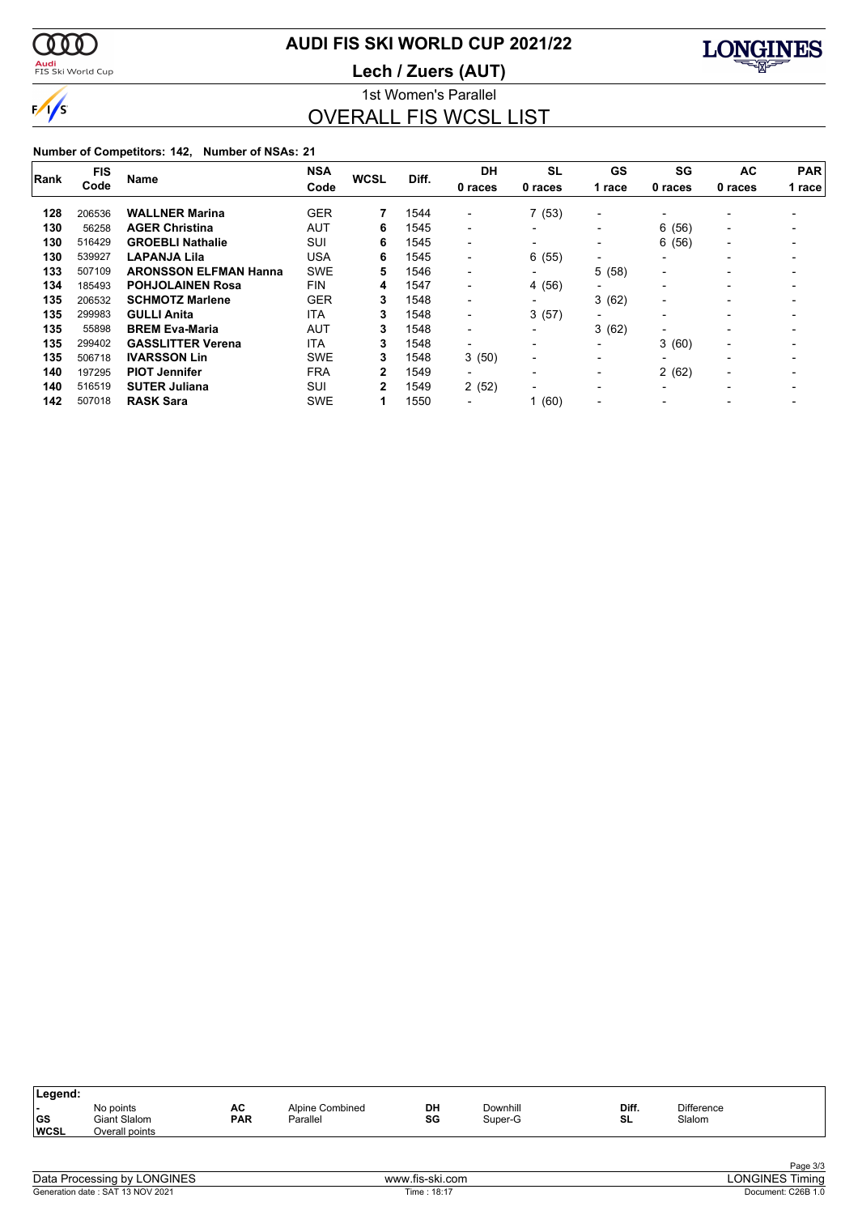

# **AUDI FIS SKI WORLD CUP 2021/22**

<mark>Audi</mark><br>FIS Ski World Cup

### **Lech / Zuers (AUT)**



1st Women's Parallel OVERALL FIS WCSL LIST

### **Number of Competitors: 142, Number of NSAs: 21**

|      | <b>FIS</b> |                              | <b>NSA</b> |             |       | <b>DH</b>                | <b>SL</b>                | GS                       | SG                       | <b>AC</b>                | <b>PAR</b> |  |
|------|------------|------------------------------|------------|-------------|-------|--------------------------|--------------------------|--------------------------|--------------------------|--------------------------|------------|--|
| Rank | Code       | <b>Name</b>                  | Code       | <b>WCSL</b> | Diff. | 0 races                  | 0 races                  | 1 race                   | 0 races                  | 0 races                  | 1 race     |  |
| 128  | 206536     | <b>WALLNER Marina</b>        | <b>GER</b> |             | 1544  | $\overline{\phantom{0}}$ | 7(53)                    | $\overline{\phantom{0}}$ |                          |                          |            |  |
| 130  | 56258      | <b>AGER Christina</b>        | AUT        | 6           | 1545  | -                        | $\blacksquare$           | $\blacksquare$           | (56)<br>6                | $\overline{\phantom{0}}$ |            |  |
| 130  | 516429     | <b>GROEBLI Nathalie</b>      | SUI        | 6           | 1545  | $\overline{\phantom{0}}$ | $\blacksquare$           | -                        | (56)<br>6                | $\overline{\phantom{0}}$ |            |  |
| 130  | 539927     | <b>LAPANJA Lila</b>          | <b>USA</b> | 6           | 1545  | $\blacksquare$           | 6(55)                    | $\overline{\phantom{0}}$ | $\overline{\phantom{a}}$ | $\overline{\phantom{0}}$ |            |  |
| 133  | 507109     | <b>ARONSSON ELFMAN Hanna</b> | <b>SWE</b> | 5           | 1546  | -                        | $\overline{\phantom{0}}$ | 5(58)                    | $\overline{\phantom{a}}$ |                          |            |  |
| 134  | 185493     | <b>POHJOLAINEN Rosa</b>      | <b>FIN</b> | 4           | 1547  | -                        | 4 (56)                   | $\overline{\phantom{a}}$ |                          |                          |            |  |
| 135  | 206532     | <b>SCHMOTZ Marlene</b>       | <b>GER</b> | 3           | 1548  | $\overline{\phantom{0}}$ | $\blacksquare$           | 3(62)                    | $\overline{\phantom{a}}$ |                          |            |  |
| 135  | 299983     | <b>GULLI Anita</b>           | <b>ITA</b> | 3           | 1548  | $\overline{\phantom{0}}$ | 3(57)                    | $\overline{\phantom{a}}$ |                          |                          |            |  |
| 135  | 55898      | <b>BREM Eva-Maria</b>        | AUT        | 3           | 1548  | $\overline{\phantom{0}}$ | $\overline{\phantom{a}}$ | 3(62)                    | $\overline{\phantom{a}}$ |                          |            |  |
| 135  | 299402     | <b>GASSLITTER Verena</b>     | <b>ITA</b> | 3           | 1548  | $\overline{\phantom{0}}$ | $\overline{\phantom{0}}$ | $\overline{\phantom{0}}$ | 3(60)                    | $\overline{\phantom{0}}$ |            |  |
| 135  | 506718     | <b>IVARSSON Lin</b>          | <b>SWE</b> | 3           | 1548  | 3(50)                    | $\blacksquare$           | $\overline{\phantom{0}}$ |                          |                          |            |  |
| 140  | 197295     | <b>PIOT Jennifer</b>         | <b>FRA</b> | 2           | 1549  | $\overline{\phantom{0}}$ | $\overline{\phantom{0}}$ | -                        | 2(62)                    | $\overline{\phantom{a}}$ |            |  |
| 140  | 516519     | <b>SUTER Juliana</b>         | SUI        | 2           | 1549  | 2(52)                    | $\overline{\phantom{0}}$ | $\overline{\phantom{0}}$ | $\overline{\phantom{a}}$ | $\overline{\phantom{0}}$ |            |  |
| 142  | 507018     | <b>RASK Sara</b>             | <b>SWE</b> |             | 1550  |                          | 1(60)                    | $\blacksquare$           |                          |                          |            |  |

| Legend:                  |                                |            |                 |    |          |       |                   |  |
|--------------------------|--------------------------------|------------|-----------------|----|----------|-------|-------------------|--|
|                          | No points                      | AC         | Alpine Combined | DH | Downhill | Diff. | <b>Difference</b> |  |
| <b>GS</b><br><b>WCSL</b> | Giant Slalom<br>Overall points | <b>PAR</b> | Parallel        | SG | Super-G  | SL    | Slalom            |  |
|                          |                                |            |                 |    |          |       |                   |  |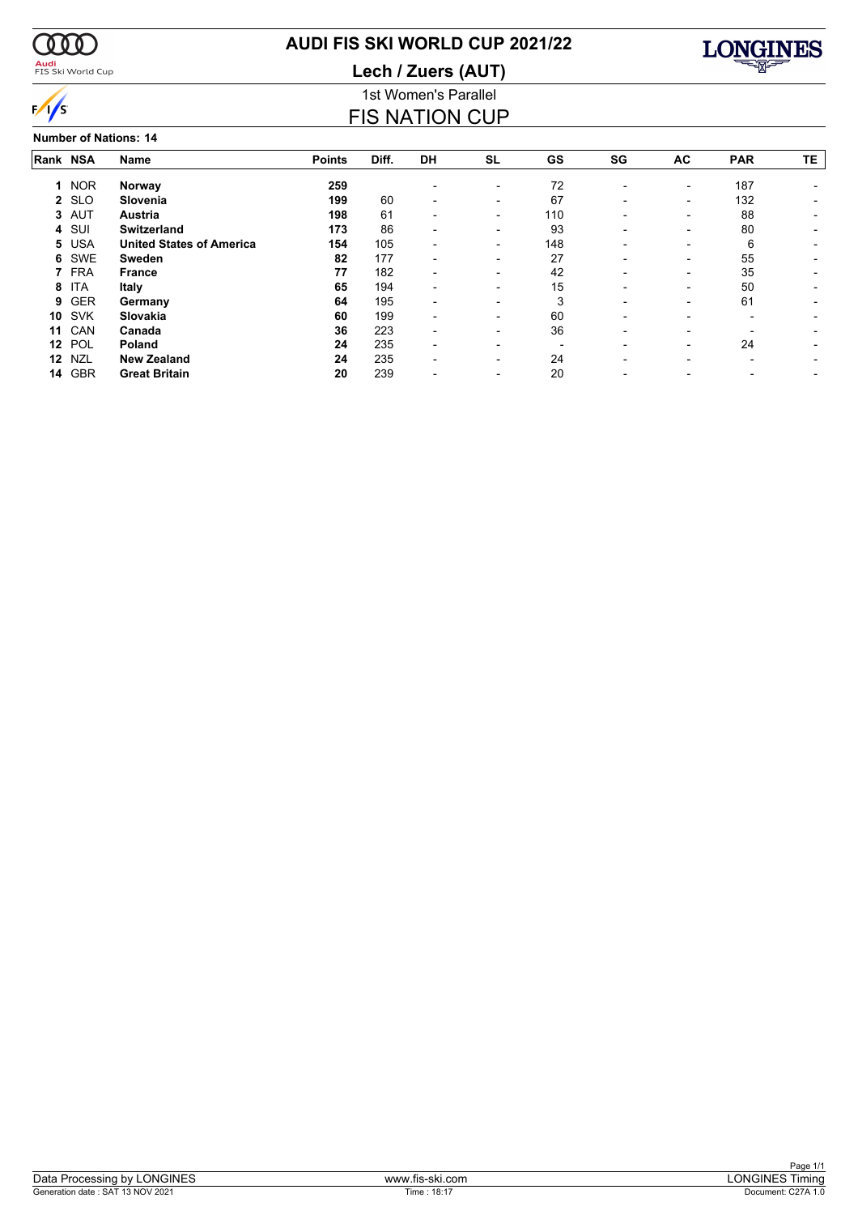

### <mark>Audi</mark><br>FIS Ski World Cup

# **AUDI FIS SKI WORLD CUP 2021/22**

**Lech / Zuers (AUT)**



## 1st Women's Parallel **FIS NATION CUP**

**Number of Nations: 14**

| Rank NSA |            | Name                            | <b>Points</b> | Diff. | <b>DH</b>                | <b>SL</b>                | GS  | SG                       | <b>AC</b>                | <b>PAR</b> | TE |
|----------|------------|---------------------------------|---------------|-------|--------------------------|--------------------------|-----|--------------------------|--------------------------|------------|----|
|          | 1 NOR      | Norway                          | 259           |       |                          | ۰                        | 72  |                          | $\overline{\phantom{0}}$ | 187        |    |
|          | 2 SLO      | Slovenia                        | 199           | 60    | $\overline{\phantom{a}}$ | $\overline{\phantom{a}}$ | 67  | $\blacksquare$           | $\overline{\phantom{a}}$ | 132        |    |
| 3        | AUT        | <b>Austria</b>                  | 198           | 61    | $\overline{\phantom{0}}$ | $\overline{\phantom{a}}$ | 110 |                          | $\overline{\phantom{a}}$ | 88         |    |
| 4        | SUI        | <b>Switzerland</b>              | 173           | 86    |                          | $\overline{\phantom{0}}$ | 93  |                          | $\overline{\phantom{0}}$ | 80         |    |
| 5        | <b>USA</b> | <b>United States of America</b> | 154           | 105   |                          | $\overline{\phantom{0}}$ | 148 |                          |                          | 6          |    |
| 6        | <b>SWE</b> | <b>Sweden</b>                   | 82            | 177   | $\overline{\phantom{a}}$ | $\overline{\phantom{a}}$ | 27  | -                        | $\overline{\phantom{a}}$ | 55         |    |
|          | 7 FRA      | France                          | 77            | 182   | $\overline{\phantom{a}}$ | $\overline{\phantom{a}}$ | 42  | $\overline{\phantom{0}}$ | $\overline{\phantom{a}}$ | 35         |    |
| 8        | ITA        | Italy                           | 65            | 194   |                          | $\overline{\phantom{a}}$ | 15  |                          | $\overline{\phantom{0}}$ | 50         |    |
| 9        | <b>GER</b> | Germany                         | 64            | 195   |                          |                          | 3   |                          |                          | 61         |    |
| 10       | <b>SVK</b> | Slovakia                        | 60            | 199   | $\overline{\phantom{0}}$ | $\overline{\phantom{0}}$ | 60  | $\overline{\phantom{0}}$ |                          |            |    |
| 11       | CAN        | Canada                          | 36            | 223   | $\overline{\phantom{0}}$ | $\overline{\phantom{0}}$ | 36  | $\blacksquare$           | $\overline{\phantom{0}}$ |            |    |
| 12       | POL        | Poland                          | 24            | 235   |                          | -                        |     |                          | $\overline{\phantom{0}}$ | 24         |    |
| 12       | <b>NZL</b> | <b>New Zealand</b>              | 24            | 235   |                          |                          | 24  |                          |                          |            |    |
| 14       | <b>GBR</b> | <b>Great Britain</b>            | 20            | 239   |                          |                          | 20  |                          |                          |            |    |
|          |            |                                 |               |       |                          |                          |     |                          |                          |            |    |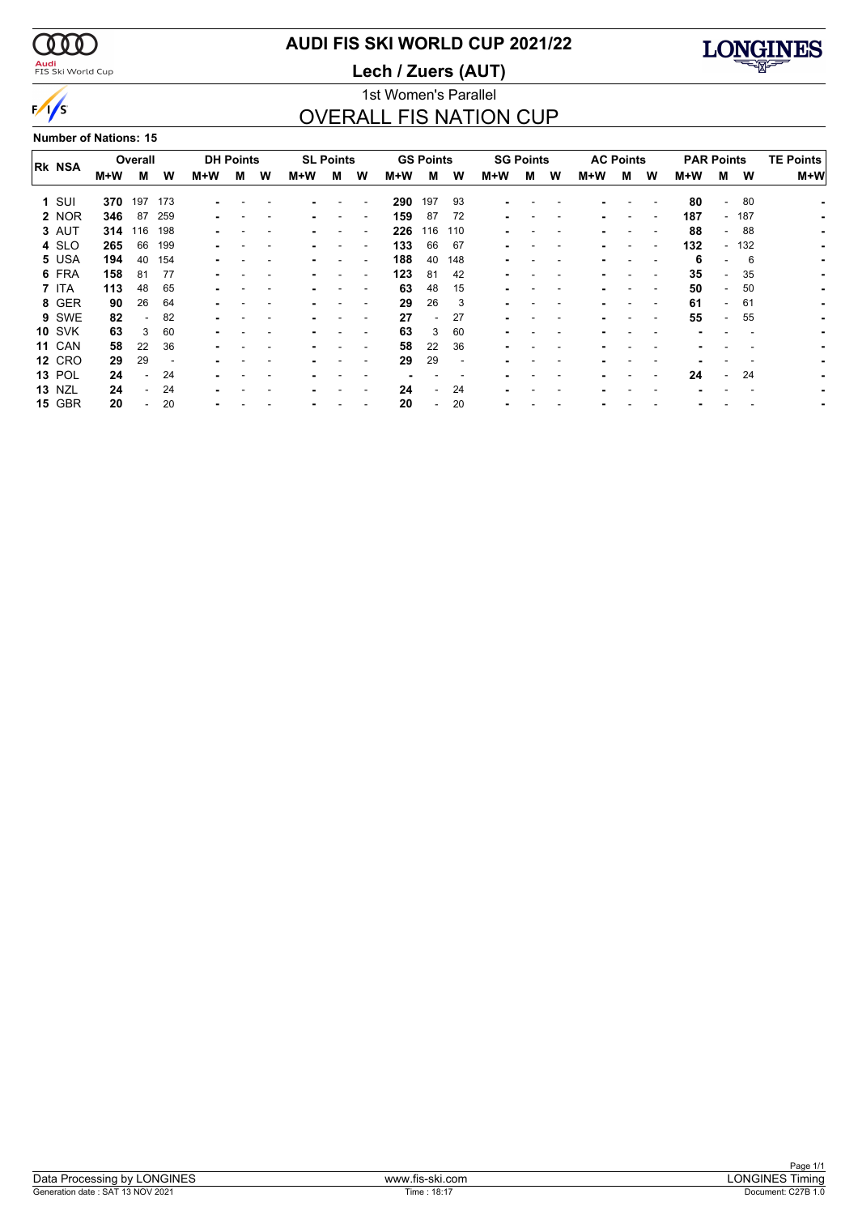$\alpha\alpha$ 

 $\sqrt{s}$ 

### <mark>Audi</mark><br>FIS Ski World Cup

# **AUDI FIS SKI WORLD CUP 2021/22**

**Lech / Zuers (AUT)**



## 1st Women's Parallel OVERALL FIS NATION CUP

**Number of Nations: 15**

|               |     | Overall |                          |     | <b>DH Points</b> |   | <b>SL Points</b> |   |                          |     | <b>GS Points</b>         |                          |     | <b>SG Points</b> |   | <b>AC Points</b> |   |                          | <b>PAR Points</b> |                          |      | <b>TE Points</b> |
|---------------|-----|---------|--------------------------|-----|------------------|---|------------------|---|--------------------------|-----|--------------------------|--------------------------|-----|------------------|---|------------------|---|--------------------------|-------------------|--------------------------|------|------------------|
| <b>RK NSA</b> | M+W | м       | W                        | M+W | м                | W | M+W              | м | W                        | M+W | м                        | W                        | M+W | м                | w | M+W              | м | W                        | M+W               | М                        | W    | $M+W$            |
| $1$ SUI       | 370 | 197     | - 173                    |     |                  |   |                  |   | $\overline{\phantom{a}}$ | 290 | 197                      | 93                       |     |                  |   |                  |   |                          | 80                | $\overline{\phantom{a}}$ | - 80 |                  |
| 2 NOR         | 346 | 87      | 259                      |     |                  |   |                  |   | $\overline{\phantom{a}}$ | 159 | 87                       | 72                       |     |                  |   |                  |   | $\overline{\phantom{a}}$ | 187               | $\sim$                   | 187  |                  |
| 3 AUT         | 314 | 116     | 198                      |     |                  |   |                  |   |                          | 226 | 116                      | 110                      |     |                  |   |                  |   | $\overline{\phantom{a}}$ | 88                | $\sim$                   | - 88 | ۰.               |
| 4 SLO         | 265 | 66      | 199                      |     |                  |   |                  |   |                          | 133 | 66                       | 67                       |     |                  |   |                  |   | ٠                        | 132               | $\overline{\phantom{a}}$ | 132  |                  |
| 5 USA         | 194 | 40      | 154                      |     |                  |   |                  |   |                          | 188 | 40                       | 148                      |     |                  |   |                  |   |                          | 6                 | $\sim$                   | - 6  |                  |
| 6 FRA         | 158 | 81      | 77                       |     |                  |   |                  |   |                          | 123 | 81                       | 42                       |     |                  |   |                  |   | ٠                        | 35                | $\blacksquare$           | 35   |                  |
| 7 ITA         | 113 | 48      | 65                       |     |                  |   |                  |   |                          | 63  | 48                       | 15                       |     |                  |   |                  |   | $\overline{\phantom{a}}$ | 50                | $\blacksquare$           | 50   |                  |
| 8 GER         | 90  | 26      | 64                       |     |                  |   |                  |   |                          | 29  | 26                       | 3                        |     |                  |   |                  |   | $\overline{\phantom{a}}$ | 61                | $\blacksquare$           | 61   |                  |
| 9 SWE         | 82  | $\sim$  | 82                       |     |                  |   |                  |   |                          | 27  | $\overline{\phantom{0}}$ | 27                       |     |                  |   |                  |   |                          | 55                | $\blacksquare$           | 55   |                  |
| <b>10 SVK</b> | 63  | 3       | 60                       |     |                  |   |                  |   |                          | 63  | 3                        | 60                       |     |                  |   |                  |   |                          |                   |                          |      |                  |
| 11 CAN        | 58  | 22      | 36                       |     |                  |   |                  |   |                          | 58  | 22                       | 36                       |     |                  |   |                  |   |                          |                   |                          |      |                  |
| <b>12 CRO</b> | 29  | 29      | $\overline{\phantom{a}}$ |     |                  |   |                  |   |                          | 29  | 29                       | $\overline{\phantom{a}}$ |     |                  |   |                  |   |                          |                   |                          |      |                  |
| <b>13 POL</b> | 24  |         | 24                       |     |                  |   |                  |   |                          |     |                          |                          |     |                  |   |                  |   | $\overline{\phantom{a}}$ | 24                | $\blacksquare$           | 24   |                  |
| <b>13 NZL</b> | 24  |         | 24                       |     |                  |   |                  |   |                          | 24  | $\overline{\phantom{a}}$ | 24                       |     |                  |   |                  |   |                          |                   |                          |      |                  |
| <b>15 GBR</b> | 20  |         | 20                       |     |                  |   |                  |   |                          | 20  | $\overline{\phantom{0}}$ | 20                       |     |                  |   |                  |   |                          |                   |                          |      |                  |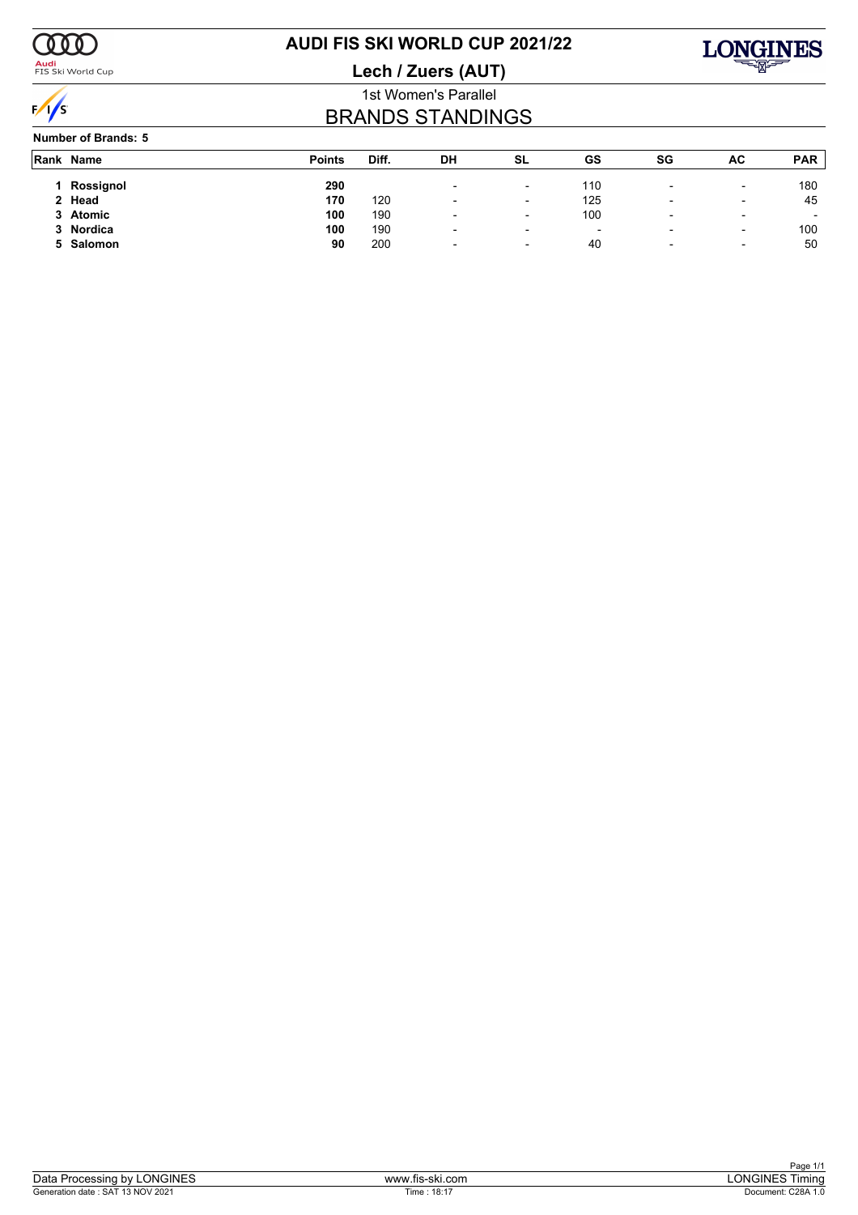

### <mark>Audi</mark><br>FIS Ski World Cup

# **AUDI FIS SKI WORLD CUP 2021/22**

**Lech / Zuers (AUT)**



## 1st Women's Parallel BRANDS STANDINGS

### **Number of Brands: 5**

| Rank Name | <b>Points</b> | Diff. | DH                       | SL                       | GS                       | SG                       | AC                       | <b>PAR</b>               |
|-----------|---------------|-------|--------------------------|--------------------------|--------------------------|--------------------------|--------------------------|--------------------------|
| Rossignol | 290           |       | $\overline{\phantom{a}}$ | $\overline{\phantom{0}}$ | 110                      | $\overline{\phantom{a}}$ | $\overline{\phantom{0}}$ | 180                      |
| 2 Head    | 170           | 120   |                          | $\overline{\phantom{0}}$ | 125                      | $\overline{\phantom{0}}$ | -                        | 45                       |
| 3 Atomic  | 100           | 190   |                          | $\overline{\phantom{a}}$ | 100                      | $\overline{\phantom{0}}$ | -                        | $\overline{\phantom{a}}$ |
| 3 Nordica | 100           | 190   | $\overline{\phantom{a}}$ | $\overline{\phantom{0}}$ | $\overline{\phantom{a}}$ | $\overline{\phantom{a}}$ | $\overline{\phantom{0}}$ | 100                      |
| 5 Salomon | 90            | 200   | $\overline{\phantom{a}}$ | $\overline{\phantom{a}}$ | 40                       | $\blacksquare$           | $\overline{\phantom{0}}$ | 50                       |